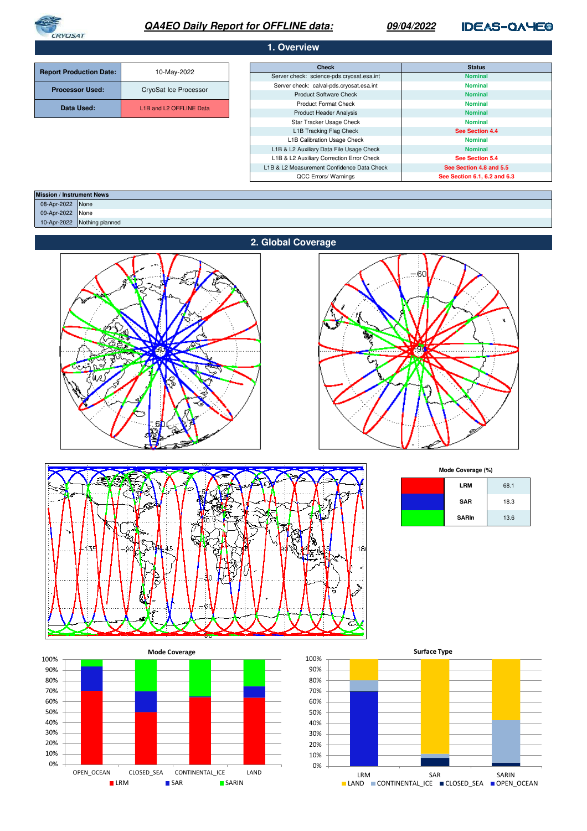

# **QA4EO Daily Report for OFFLINE data:**

# **09/04/2022**

# **IDEAS-QAYE®**

| 1. Overview                    |                         |                                            |                              |  |
|--------------------------------|-------------------------|--------------------------------------------|------------------------------|--|
|                                |                         | <b>Check</b>                               | <b>Status</b>                |  |
| <b>Report Production Date:</b> | 10-May-2022             | Server check: science-pds.cryosat.esa.int  | <b>Nominal</b>               |  |
| <b>Processor Used:</b>         | CryoSat Ice Processor   | Server check: calval-pds.cryosat.esa.int   | <b>Nominal</b>               |  |
|                                |                         | <b>Product Software Check</b>              | <b>Nominal</b>               |  |
| Data Used:                     | L1B and L2 OFFLINE Data | <b>Product Format Check</b>                | <b>Nominal</b>               |  |
|                                |                         | <b>Product Header Analysis</b>             | <b>Nominal</b>               |  |
|                                |                         | Star Tracker Usage Check                   | <b>Nominal</b>               |  |
|                                |                         | L1B Tracking Flag Check                    | See Section 4.4              |  |
|                                |                         | L1B Calibration Usage Check                | <b>Nominal</b>               |  |
|                                |                         | L1B & L2 Auxiliary Data File Usage Check   | <b>Nominal</b>               |  |
|                                |                         | L1B & L2 Auxiliary Correction Error Check  | See Section 5.4              |  |
|                                |                         | L1B & L2 Measurement Confidence Data Check | See Section 4.8 and 5.5      |  |
|                                |                         | QCC Errors/ Warnings                       | See Section 6.1, 6.2 and 6.3 |  |

| <b>Mission / Instrument News</b> |                 |
|----------------------------------|-----------------|
| 08-Apr-2022 None                 |                 |
| 09-Apr-2022                      | None            |
| 10-Apr-2022                      | Nothing planned |
|                                  |                 |







**SAR Mode Coverage (%) LRM** 68.1 18.3

| <b>SAR</b>   | 18.3 |
|--------------|------|
| <b>SARIn</b> | 13.6 |



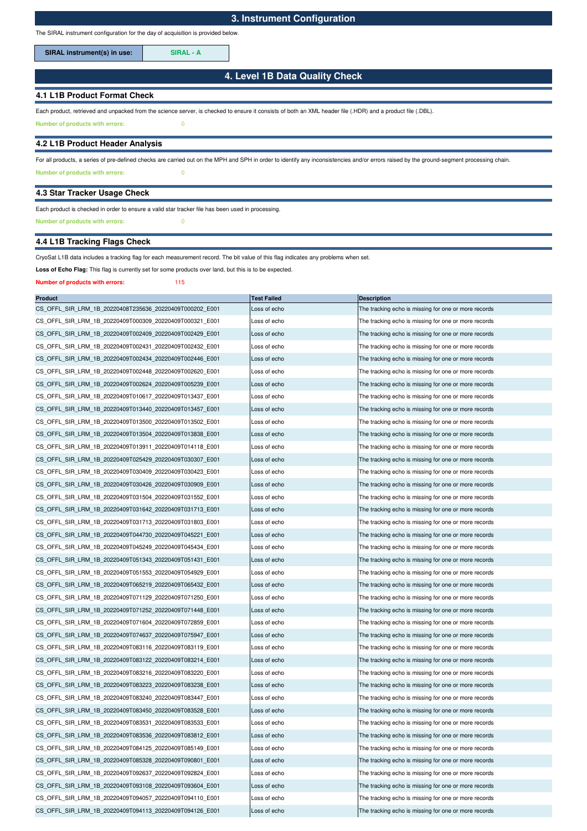The SIRAL instrument configuration for the day of acquisition is provided below.

SIRAL instrument(s) in use: **SIRAL - A** 

# **4. Level 1B Data Quality Check**

## **4.1 L1B Product Format Check**

Each product, retrieved and unpacked from the science server, is checked to ensure it consists of both an XML header file (.HDR) and a product file (.DBL).

**Number of products with errors:** 0

## **4.2 L1B Product Header Analysis**

**Number of products with errors:** 0 For all products, a series of pre-defined checks are carried out on the MPH and SPH in order to identify any inconsistencies and/or errors raised by the ground-segment processing chain.

#### **4.3 Star Tracker Usage Check**

# Each product is checked in order to ensure a valid star tracker file has been used in processing.

**Number of products with errors:** 0

# **4.4 L1B Tracking Flags Check**

CryoSat L1B data includes a tracking flag for each measurement record. The bit value of this flag indicates any problems when set.

Loss of Echo Flag: This flag is currently set for some products over land, but this is to be expected.

#### **Number of products with errors:** 115

| <b>Product</b>                                          | <b>Test Failed</b> | <b>Description</b>                                   |
|---------------------------------------------------------|--------------------|------------------------------------------------------|
| CS_OFFL_SIR_LRM_1B_20220408T235636_20220409T000202_E001 | Loss of echo       | The tracking echo is missing for one or more records |
| CS OFFL SIR LRM 1B 20220409T000309 20220409T000321 E001 | Loss of echo       | The tracking echo is missing for one or more records |
| CS OFFL SIR LRM 1B 20220409T002409 20220409T002429 E001 | Loss of echo       | The tracking echo is missing for one or more records |
| CS_OFFL_SIR_LRM_1B_20220409T002431_20220409T002432_E001 | Loss of echo       | The tracking echo is missing for one or more records |
| CS OFFL SIR LRM 1B 20220409T002434 20220409T002446 E001 | Loss of echo       | The tracking echo is missing for one or more records |
| CS_OFFL_SIR_LRM_1B_20220409T002448_20220409T002620_E001 | Loss of echo       | The tracking echo is missing for one or more records |
| CS_OFFL_SIR_LRM_1B_20220409T002624_20220409T005239_E001 | Loss of echo       | The tracking echo is missing for one or more records |
| CS_OFFL_SIR_LRM_1B_20220409T010617_20220409T013437_E001 | Loss of echo       | The tracking echo is missing for one or more records |
| CS_OFFL_SIR_LRM_1B_20220409T013440_20220409T013457_E001 | Loss of echo       | The tracking echo is missing for one or more records |
| CS OFFL SIR LRM 1B 20220409T013500 20220409T013502 E001 | Loss of echo       | The tracking echo is missing for one or more records |
| CS OFFL SIR LRM 1B 20220409T013504 20220409T013838 E001 | Loss of echo       | The tracking echo is missing for one or more records |
| CS_OFFL_SIR_LRM_1B_20220409T013911_20220409T014118_E001 | Loss of echo       | The tracking echo is missing for one or more records |
| CS_OFFL_SIR_LRM_1B_20220409T025429_20220409T030307_E001 | Loss of echo       | The tracking echo is missing for one or more records |
| CS_OFFL_SIR_LRM_1B_20220409T030409_20220409T030423_E001 | Loss of echo       | The tracking echo is missing for one or more records |
| CS_OFFL_SIR_LRM_1B_20220409T030426_20220409T030909_E001 | Loss of echo       | The tracking echo is missing for one or more records |
| CS_OFFL_SIR_LRM_1B_20220409T031504_20220409T031552_E001 | Loss of echo       | The tracking echo is missing for one or more records |
| CS OFFL SIR LRM 1B 20220409T031642 20220409T031713 E001 | Loss of echo       | The tracking echo is missing for one or more records |
| CS_OFFL_SIR_LRM_1B_20220409T031713_20220409T031803_E001 | Loss of echo       | The tracking echo is missing for one or more records |
| CS_OFFL_SIR_LRM_1B_20220409T044730_20220409T045221_E001 | Loss of echo       | The tracking echo is missing for one or more records |
| CS OFFL SIR LRM 1B 20220409T045249 20220409T045434 E001 | Loss of echo       | The tracking echo is missing for one or more records |
| CS OFFL SIR LRM 1B 20220409T051343 20220409T051431 E001 | Loss of echo       | The tracking echo is missing for one or more records |
| CS_OFFL_SIR_LRM_1B_20220409T051553_20220409T054929_E001 | Loss of echo       | The tracking echo is missing for one or more records |
| CS_OFFL_SIR_LRM_1B_20220409T065219_20220409T065432_E001 | Loss of echo       | The tracking echo is missing for one or more records |
| CS_OFFL_SIR_LRM_1B_20220409T071129_20220409T071250_E001 | Loss of echo       | The tracking echo is missing for one or more records |
| CS_OFFL_SIR_LRM_1B_20220409T071252_20220409T071448_E001 | Loss of echo       | The tracking echo is missing for one or more records |
| CS_OFFL_SIR_LRM_1B_20220409T071604_20220409T072859_E001 | Loss of echo       | The tracking echo is missing for one or more records |
| CS_OFFL_SIR_LRM_1B_20220409T074637_20220409T075947_E001 | Loss of echo       | The tracking echo is missing for one or more records |
| CS OFFL SIR LRM 1B 20220409T083116 20220409T083119 E001 | Loss of echo       | The tracking echo is missing for one or more records |
| CS_OFFL_SIR_LRM_1B_20220409T083122_20220409T083214_E001 | Loss of echo       | The tracking echo is missing for one or more records |
| CS_OFFL_SIR_LRM_1B_20220409T083216_20220409T083220_E001 | Loss of echo       | The tracking echo is missing for one or more records |
| CS_OFFL_SIR_LRM_1B_20220409T083223_20220409T083238_E001 | Loss of echo       | The tracking echo is missing for one or more records |
| CS_OFFL_SIR_LRM_1B_20220409T083240_20220409T083447_E001 | Loss of echo       | The tracking echo is missing for one or more records |
| CS_OFFL_SIR_LRM_1B_20220409T083450_20220409T083528_E001 | Loss of echo       | The tracking echo is missing for one or more records |
| CS OFFL SIR LRM 1B 20220409T083531 20220409T083533 E001 | Loss of echo       | The tracking echo is missing for one or more records |
| CS_OFFL_SIR_LRM_1B_20220409T083536_20220409T083812_E001 | Loss of echo       | The tracking echo is missing for one or more records |
| CS OFFL SIR LRM 1B 20220409T084125 20220409T085149 E001 | Loss of echo       | The tracking echo is missing for one or more records |
| CS OFFL SIR LRM 1B 20220409T085328 20220409T090801 E001 | Loss of echo       | The tracking echo is missing for one or more records |
| CS_OFFL_SIR_LRM_1B_20220409T092637_20220409T092824_E001 | Loss of echo       | The tracking echo is missing for one or more records |
| CS_OFFL_SIR_LRM_1B_20220409T093108_20220409T093604_E001 | Loss of echo       | The tracking echo is missing for one or more records |
| CS OFFL SIR LRM 1B 20220409T094057 20220409T094110 E001 | Loss of echo       | The tracking echo is missing for one or more records |
| CS OFFL SIR LRM 1B 20220409T094113 20220409T094126 E001 | Loss of echo       | The tracking echo is missing for one or more records |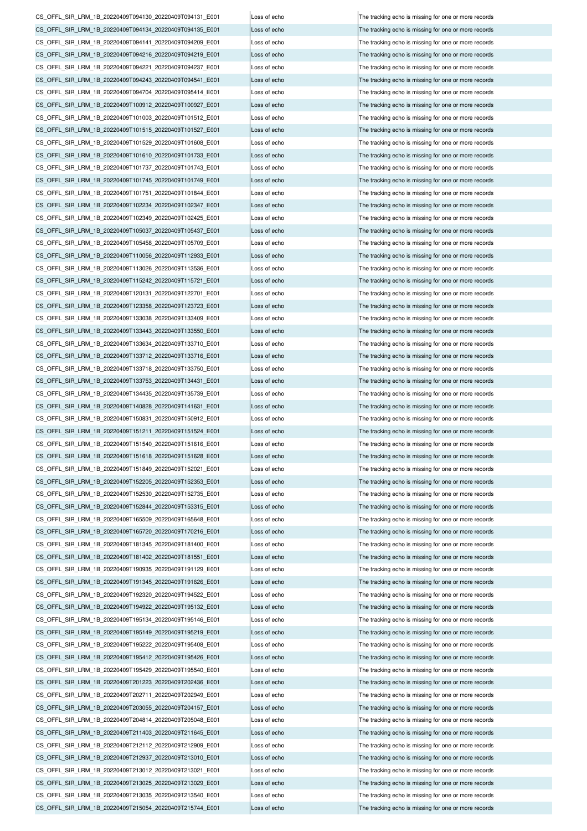CS\_OFFL\_SIR\_LRM\_1B\_20220409T212112\_20220409T212909\_E001 Loss of echo The tracking echo is missing for one or more records CS\_OFFL\_SIR\_LRM\_1B\_20220409T212937\_20220409T213010\_E001 Loss of echo The tracking echo is missing for one or more records CS\_OFFL\_SIR\_LRM\_1B\_20220409T213012\_20220409T213021\_E001 Loss of echo The tracking echo is missing for one or more records CS\_OFFL\_SIR\_LRM\_1B\_20220409T213025\_20220409T213029\_E001 Loss of echo The tracking echo is missing for one or more records CS\_OFFL\_SIR\_LRM\_1B\_20220409T213035\_20220409T213540\_E001 Loss of echo The tracking echo is missing for one or more records CS\_OFFL\_SIR\_LRM\_1B\_20220409T215054\_20220409T215744\_E001 Loss of echo CS\_OFFL\_SIR\_LRM\_1B\_20220409T195149\_20220409T195219\_E001 Loss of echo The tracking echo is missing for one or more records CS\_OFFL\_SIR\_LRM\_1B\_20220409T195222\_20220409T195408\_E001 Loss of echo The tracking echo is missing for one or more records CS\_OFFL\_SIR\_LRM\_1B\_20220409T195412\_20220409T195426\_E001 Loss of echo The tracking echo is missing for one or more records CS\_OFFL\_SIR\_LRM\_1B\_20220409T195429\_20220409T195540\_E001 Loss of echo CS\_OFFL\_SIR\_LRM\_1B\_20220409T201223\_20220409T202436\_E001 Loss of echo The tracking echo is missing for one or more records CS\_OFFL\_SIR\_LRM\_1B\_20220409T202711\_20220409T202949\_E001 Loss of echo The tracking echo is missing for one or more records CS\_OFFL\_SIR\_LRM\_1B\_20220409T203055\_20220409T204157\_E001 Loss of echo The tracking echo is missing for one or more records CS\_OFFL\_SIR\_LRM\_1B\_20220409T204814\_20220409T205048\_E001 Loss of echo The tracking echo is missing for one or more records CS\_OFFL\_SIR\_LRM\_1B\_20220409T211403\_20220409T211645\_E001 Loss of echo The tracking echo is missing for one or more records CS\_OFFL\_SIR\_LRM\_1B\_20220409T152530\_20220409T152735\_E001 Loss of echo The tracking echo is missing for one or more records CS\_OFFL\_SIR\_LRM\_1B\_20220409T152844\_20220409T153315\_E001 Loss of echo The tracking echo is missing for one or more records CS\_OFFL\_SIR\_LRM\_1B\_20220409T165509\_20220409T165648\_E001 Loss of echo The tracking echo is missing for one or more records CS\_OFFL\_SIR\_LRM\_1B\_20220409T165720\_20220409T170216\_E001 Loss of echo The tracking echo is missing for one or more records CS\_OFFL\_SIR\_LRM\_1B\_20220409T181345\_20220409T181400\_E001 Loss of echo The tracking echo is missing for one or more records CS\_OFFL\_SIR\_LRM\_1B\_20220409T181402\_20220409T181551\_E001 Loss of echo The tracking echo is missing for one or more records CS\_OFFL\_SIR\_LRM\_1B\_20220409T190935\_20220409T191129\_E001 Loss of echo The tracking echo is missing for one or more records CS\_OFFL\_SIR\_LRM\_1B\_20220409T191345\_20220409T191626\_E001 Loss of echo The tracking echo is missing for one or more records CS\_OFFL\_SIR\_LRM\_1B\_20220409T192320\_20220409T194522\_E001 Loss of echo The tracking echo is missing for one or more records CS\_OFFL\_SIR\_LRM\_1B\_20220409T194922\_20220409T195132\_E001 Loss of echo The tracking echo is missing for one or more records CS\_OFFL\_SIR\_LRM\_1B\_20220409T195134\_20220409T195146\_E001 CS\_OFFL\_SIR\_LRM\_1B\_20220409T150831\_20220409T150912\_E001 Loss of echo The tracking echo is missing for one or more records CS\_OFFL\_SIR\_LRM\_1B\_20220409T151211\_20220409T151524\_E001 Loss of echo The tracking echo is missing for one or more records CS\_OFFL\_SIR\_LRM\_1B\_20220409T151540\_20220409T151616\_E001 Loss of echo The tracking echo is missing for one or more records CS\_OFFL\_SIR\_LRM\_1B\_20220409T151618\_20220409T151628\_E001 Loss of echo The tracking echo is missing for one or more records CS\_OFFL\_SIR\_LRM\_1B\_20220409T151849\_20220409T152021\_E001 Loss of echo The tracking echo is missing for one or more records CS\_OFFL\_SIR\_LRM\_1B\_20220409T152205\_20220409T152353\_E001 Loss of echo The tracking echo is missing for one or more records CS\_OFFL\_SIR\_LRM\_1B\_20220409T133634\_20220409T133710\_E001 Loss of echo The tracking echo is missing for one or more records CS\_OFFL\_SIR\_LRM\_1B\_20220409T133712\_20220409T133716\_E001 Loss of echo The tracking echo is missing for one or more records CS\_OFFL\_SIR\_LRM\_1B\_20220409T133718\_20220409T133750\_E001 Loss of echo The tracking echo is missing for one or more records CS\_OFFL\_SIR\_LRM\_1B\_20220409T133753\_20220409T134431\_E001 Loss of echo The tracking echo is missing for one or more records CS\_OFFL\_SIR\_LRM\_1B\_20220409T134435\_20220409T135739\_E001 Loss of echo The tracking echo is missing for one or more records CS\_OFFL\_SIR\_LRM\_1B\_20220409T140828\_20220409T141631\_E001 Loss of echo The tracking echo is missing for one or more records CS\_OFFL\_SIR\_LRM\_1B\_20220409T113026\_20220409T113536\_E001 Loss of echo The tracking echo is missing for one or more records CS\_OFFL\_SIR\_LRM\_1B\_20220409T115242\_20220409T115721\_E001 Loss of echo The tracking echo is missing for one or more records CS\_OFFL\_SIR\_LRM\_1B\_20220409T120131\_20220409T122701\_E001 Loss of echo The tracking echo is missing for one or more records CS\_OFFL\_SIR\_LRM\_1B\_20220409T123358\_20220409T123723\_E001 Loss of echo The tracking echo is missing for one or more records CS\_OFFL\_SIR\_LRM\_1B\_20220409T133038\_20220409T133409\_E001 Loss of echo The tracking echo is missing for one or more records CS\_OFFL\_SIR\_LRM\_1B\_20220409T133443\_20220409T133550\_E001 Loss of echo The tracking echo is missing for one or more records CS\_OFFL\_SIR\_LRM\_1B\_20220409T101751\_20220409T101844\_E001 Loss of echo The tracking echo is missing for one or more records CS\_OFFL\_SIR\_LRM\_1B\_20220409T102234\_20220409T102347\_E001 Loss of echo The tracking echo is missing for one or more records CS\_OFFL\_SIR\_LRM\_1B\_20220409T102349\_20220409T102425\_E001 Loss of echo The tracking echo is missing for one or more records CS\_OFFL\_SIR\_LRM\_1B\_20220409T105037\_20220409T105437\_E001 Loss of echo The tracking echo is missing for one or more records CS\_OFFL\_SIR\_LRM\_1B\_20220409T105458\_20220409T105709\_E001 Loss of echo The tracking echo is missing for one or more records CS\_OFFL\_SIR\_LRM\_1B\_20220409T110056\_20220409T112933\_E001 Loss of echo The tracking echo is missing for one or more records CS\_OFFL\_SIR\_LRM\_1B\_20220409T101003\_20220409T101512\_E001 Loss of echo The tracking echo is missing for one or more records CS\_OFFL\_SIR\_LRM\_1B\_20220409T101515\_20220409T101527\_E001 Loss of echo The tracking echo is missing for one or more records CS\_OFFL\_SIR\_LRM\_1B\_20220409T101529\_20220409T101608\_E001 Loss of echo The tracking echo is missing for one or more records CS\_OFFL\_SIR\_LRM\_1B\_20220409T101610\_20220409T101733\_E001 Loss of echo The tracking echo is missing for one or more records CS\_OFFL\_SIR\_LRM\_1B\_20220409T101737\_20220409T101743\_E001 Loss of echo The tracking echo is missing for one or more records CS\_OFFL\_SIR\_LRM\_1B\_20220409T101745\_20220409T101749\_E001 Loss of echo The tracking echo is missing for one or more records CS\_OFFL\_SIR\_LRM\_1B\_20220409T094141\_20220409T094209\_E001 Loss of echo The tracking echo is missing for one or more records CS\_OFFL\_SIR\_LRM\_1B\_20220409T094216\_20220409T094219\_E001 Loss of echo The tracking echo is missing for one or more records CS\_OFFL\_SIR\_LRM\_1B\_20220409T094221\_20220409T094237\_E001 Loss of echo The tracking echo is missing for one or more records CS\_OFFL\_SIR\_LRM\_1B\_20220409T094243\_20220409T094541\_E001 Loss of echo The tracking echo is missing for one or more records CS\_OFFL\_SIR\_LRM\_1B\_20220409T094704\_20220409T095414\_E001 Loss of echo The tracking echo is missing for one or more records CS\_OFFL\_SIR\_LRM\_1B\_20220409T100912\_20220409T100927\_E001 Loss of echo The tracking echo is missing for one or more records CS\_OFFL\_SIR\_LRM\_1B\_20220409T094130\_20220409T094131\_E001 Loss of echo The tracking echo is missing for one or more records CS\_OFFL\_SIR\_LRM\_1B\_20220409T094134\_20220409T094135\_E001 Loss of echo The tracking echo is missing for one or more records

Loss of echo The tracking echo is missing for one or more records The tracking echo is missing for one or more records The tracking echo is missing for one or more records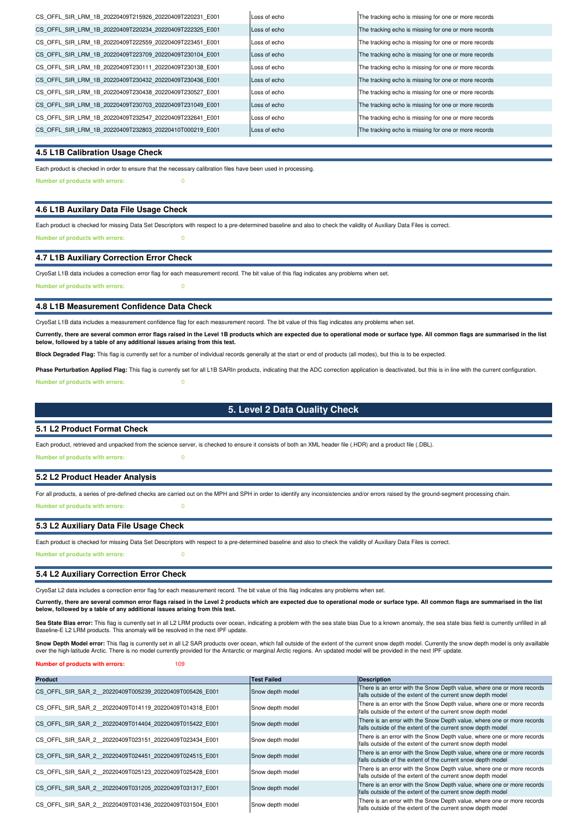| CS OFFL SIR LRM 1B 20220409T215926 20220409T220231 E001 | Loss of echo | The tracking echo is missing for one or more records |
|---------------------------------------------------------|--------------|------------------------------------------------------|
| CS OFFL SIR LRM 1B 20220409T220234 20220409T222325 E001 | Loss of echo | The tracking echo is missing for one or more records |
| CS OFFL SIR LRM 1B 20220409T222559 20220409T223451 E001 | Loss of echo | The tracking echo is missing for one or more records |
| CS OFFL SIR LRM 1B 20220409T223709 20220409T230104 E001 | Loss of echo | The tracking echo is missing for one or more records |
| CS OFFL SIR LRM 1B 20220409T230111 20220409T230138 E001 | Loss of echo | The tracking echo is missing for one or more records |
| CS OFFL SIR LRM 1B 20220409T230432 20220409T230436 E001 | Loss of echo | The tracking echo is missing for one or more records |
| CS OFFL SIR LRM 1B 20220409T230438 20220409T230527 E001 | Loss of echo | The tracking echo is missing for one or more records |
| CS OFFL SIR LRM 1B 20220409T230703 20220409T231049 E001 | Loss of echo | The tracking echo is missing for one or more records |
| CS OFFL SIR LRM 1B 20220409T232547 20220409T232641 E001 | Loss of echo | The tracking echo is missing for one or more records |
| CS OFFL SIR LRM 1B 20220409T232803 20220410T000219 E001 | Loss of echo | The tracking echo is missing for one or more records |

#### **4.5 L1B Calibration Usage Check**

**Number of products with errors:** 0 Each product is checked in order to ensure that the necessary calibration files have been used in processing.

## **4.6 L1B Auxilary Data File Usage Check**

Each product is checked for missing Data Set Descriptors with respect to a pre-determined baseline and also to check the validity of Auxiliary Data Files is correct. **Number of products with errors:** 0

## **4.7 L1B Auxiliary Correction Error Check**

CryoSat L1B data includes a correction error flag for each measurement record. The bit value of this flag indicates any problems when set.

**Number of products with errors:** 0

#### **4.8 L1B Measurement Confidence Data Check**

CryoSat L1B data includes a measurement confidence flag for each measurement record. The bit value of this flag indicates any problems when set.

**Currently, there are several common error flags raised in the Level 1B products which are expected due to operational mode or surface type. All common flags are summarised in the list below, followed by a table of any additional issues arising from this test.**

**Block Degraded Flag:** This flag is currently set for a number of individual records generally at the start or end of products (all modes), but this is to be expected.

**Number of products with errors:** 0 Phase Perturbation Applied Flag: This flag is currently set for all L1B SARIn products, indicating that the ADC correction application is deactivated, but this is in line with the current configuration.

## **5. Level 2 Data Quality Check**

#### **5.1 L2 Product Format Check**

Each product, retrieved and unpacked from the science server, is checked to ensure it consists of both an XML header file (.HDR) and a product file (.DBL).

**Number of products with errors:** 0

## **5.2 L2 Product Header Analysis**

**Number of products with errors:** 0 For all products, a series of pre-defined checks are carried out on the MPH and SPH in order to identify any inconsistencies and/or errors raised by the ground-segment processing chain.

#### **5.3 L2 Auxiliary Data File Usage Check**

Each product is checked for missing Data Set Descriptors with respect to a pre-determined baseline and also to check the validity of Auxiliary Data Files is correct. **Number of products with errors:** 0

#### **5.4 L2 Auxiliary Correction Error Check**

CryoSat L2 data includes a correction error flag for each measurement record. The bit value of this flag indicates any problems when set.

Currently, there are several common error flags raised in the Level 2 products which are expected due to operational mode or surface type. All common flags are summarised in the list<br>below, followed by a table of any addit

Sea State Bias error: This flag is currently set in all L2 LRM products over ocean, indicating a problem with the sea state bias fou on anomaly, the sea state bias field is currently unfilled in all Baseline-E L2 LRM products. This anomaly will be resolved in the next IPF update.

Snow Depth Model error: This flag is currently set in all L2 SAR products over ocean, which fall outside of the extent of the current snow depth model. Currently the snow depth model is only availlable over the high-latitude Arctic. There is no model currently provided for the Antarctic or marginal Arctic regions. An updated model will be provided in the next IPF update.

| Number of products with errors: | 109 |
|---------------------------------|-----|
|---------------------------------|-----|

| <b>Product</b>                                         | <b>Test Failed</b> | <b>Description</b>                                                                                                                    |
|--------------------------------------------------------|--------------------|---------------------------------------------------------------------------------------------------------------------------------------|
| CS OFFL SIR SAR 2 20220409T005239 20220409T005426 E001 | Snow depth model   | There is an error with the Snow Depth value, where one or more records<br>falls outside of the extent of the current snow depth model |
| CS OFFL SIR SAR 2 20220409T014119 20220409T014318 E001 | Snow depth model   | There is an error with the Snow Depth value, where one or more records<br>falls outside of the extent of the current snow depth model |
| CS OFFL SIR SAR 2 20220409T014404 20220409T015422 E001 | Snow depth model   | There is an error with the Snow Depth value, where one or more records<br>falls outside of the extent of the current snow depth model |
| CS OFFL SIR SAR 2 20220409T023151 20220409T023434 E001 | Snow depth model   | There is an error with the Snow Depth value, where one or more records<br>falls outside of the extent of the current snow depth model |
| CS OFFL SIR SAR 2 20220409T024451 20220409T024515 E001 | Snow depth model   | There is an error with the Snow Depth value, where one or more records<br>falls outside of the extent of the current snow depth model |
| CS OFFL SIR SAR 2 20220409T025123 20220409T025428 E001 | Snow depth model   | There is an error with the Snow Depth value, where one or more records<br>falls outside of the extent of the current snow depth model |
| CS OFFL SIR SAR 2 20220409T031205 20220409T031317 E001 | Snow depth model   | There is an error with the Snow Depth value, where one or more records<br>falls outside of the extent of the current snow depth model |
| CS OFFL SIR SAR 2 20220409T031436 20220409T031504 E001 | Snow depth model   | There is an error with the Snow Depth value, where one or more records<br>falls outside of the extent of the current snow depth model |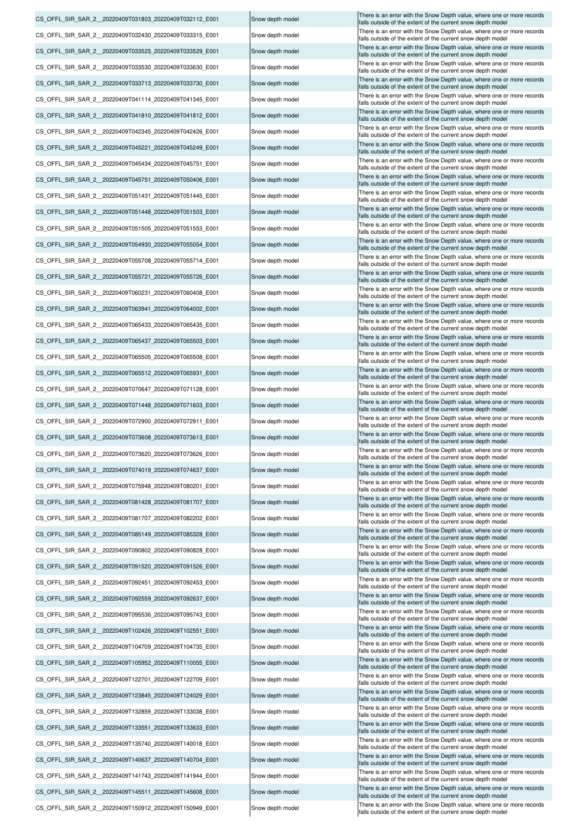| CS_OFFL_SIR_SAR_2_20220409T031803_20220409T032112 E001  | Snow depth model | There is an error with the Snow Depth value, where one or more records<br>falls outside of the extent of the current snow depth model |
|---------------------------------------------------------|------------------|---------------------------------------------------------------------------------------------------------------------------------------|
| CS OFFL SIR SAR 2 20220409T032430 20220409T033315 E001  | Snow depth model | There is an error with the Snow Depth value, where one or more records<br>falls outside of the extent of the current snow depth model |
| CS OFFL SIR SAR 2 20220409T033525 20220409T033529 E001  | Snow depth model | There is an error with the Snow Depth value, where one or more records<br>falls outside of the extent of the current snow depth model |
| CS OFFL SIR SAR 2 20220409T033530 20220409T033630 E001  | Snow depth model | There is an error with the Snow Depth value, where one or more records                                                                |
| CS OFFL SIR SAR 2 20220409T033713 20220409T033730 E001  | Snow depth model | falls outside of the extent of the current snow depth model<br>There is an error with the Snow Depth value, where one or more records |
| CS OFFL SIR SAR 2 20220409T041114 20220409T041345 E001  | Snow depth model | falls outside of the extent of the current snow depth model<br>There is an error with the Snow Depth value, where one or more records |
| CS OFFL SIR SAR 2 20220409T041810 20220409T041812 E001  | Snow depth model | falls outside of the extent of the current snow depth model<br>There is an error with the Snow Depth value, where one or more records |
|                                                         |                  | falls outside of the extent of the current snow depth model<br>There is an error with the Snow Depth value, where one or more records |
| CS OFFL SIR SAR 2 20220409T042345 20220409T042426 E001  | Snow depth model | falls outside of the extent of the current snow depth model<br>There is an error with the Snow Depth value, where one or more records |
| CS OFFL SIR SAR 2 20220409T045221 20220409T045249 E001  | Snow depth model | falls outside of the extent of the current snow depth model<br>There is an error with the Snow Depth value, where one or more records |
| CS OFFL SIR SAR 2 20220409T045434 20220409T045751 E001  | Snow depth model | falls outside of the extent of the current snow depth model<br>There is an error with the Snow Depth value, where one or more records |
| CS_OFFL_SIR_SAR_2_20220409T045751_20220409T050406_E001  | Snow depth model | falls outside of the extent of the current snow depth model<br>There is an error with the Snow Depth value, where one or more records |
| CS_OFFL_SIR_SAR_2_20220409T051431_20220409T051445_E001  | Snow depth model | falls outside of the extent of the current snow depth model                                                                           |
| CS OFFL SIR SAR 2 20220409T051448 20220409T051503 E001  | Snow depth model | There is an error with the Snow Depth value, where one or more records<br>falls outside of the extent of the current snow depth model |
| CS OFFL SIR SAR 2 20220409T051505 20220409T051553 E001  | Snow depth model | There is an error with the Snow Depth value, where one or more records<br>falls outside of the extent of the current snow depth model |
| CS OFFL SIR SAR 2 20220409T054930 20220409T055054 E001  | Snow depth model | There is an error with the Snow Depth value, where one or more records<br>falls outside of the extent of the current snow depth model |
| CS OFFL SIR SAR 2 20220409T055708 20220409T055714 E001  | Snow depth model | There is an error with the Snow Depth value, where one or more records<br>falls outside of the extent of the current snow depth model |
| CS OFFL SIR SAR 2 20220409T055721 20220409T055726 E001  | Snow depth model | There is an error with the Snow Depth value, where one or more records<br>falls outside of the extent of the current snow depth model |
| CS OFFL SIR SAR 2 20220409T060231 20220409T060408 E001  | Snow depth model | There is an error with the Snow Depth value, where one or more records<br>falls outside of the extent of the current snow depth model |
| CS OFFL SIR SAR 2 20220409T063941 20220409T064002 E001  | Snow depth model | There is an error with the Snow Depth value, where one or more records<br>falls outside of the extent of the current snow depth model |
| CS OFFL SIR SAR 2 20220409T065433 20220409T065435 E001  | Snow depth model | There is an error with the Snow Depth value, where one or more records<br>falls outside of the extent of the current snow depth model |
| CS_OFFL_SIR_SAR_2_20220409T065437_20220409T065503_E001  | Snow depth model | There is an error with the Snow Depth value, where one or more records<br>falls outside of the extent of the current snow depth model |
| CS OFFL SIR SAR 2 20220409T065505 20220409T065508 E001  | Snow depth model | There is an error with the Snow Depth value, where one or more records                                                                |
| CS OFFL SIR SAR 2 20220409T065512 20220409T065931 E001  | Snow depth model | falls outside of the extent of the current snow depth model<br>There is an error with the Snow Depth value, where one or more records |
| CS OFFL SIR SAR 2 20220409T070647 20220409T071128 E001  | Snow depth model | falls outside of the extent of the current snow depth model<br>There is an error with the Snow Depth value, where one or more records |
| CS OFFL SIR SAR 2 20220409T071448 20220409T071603 E001  | Snow depth model | falls outside of the extent of the current snow depth model<br>There is an error with the Snow Depth value, where one or more records |
| CS_OFFL_SIR_SAR_2_20220409T072900_20220409T072911_E001  | Snow depth model | falls outside of the extent of the current snow depth model<br>There is an error with the Snow Depth value, where one or more records |
|                                                         |                  | falls outside of the extent of the current snow depth model<br>There is an error with the Snow Depth value, where one or more records |
| CS_OFFL_SIR_SAR_2_20220409T073608_20220409T073613_E001  | Snow depth model | falls outside of the extent of the current snow depth model<br>There is an error with the Snow Depth value, where one or more records |
| CS_OFFL_SIR_SAR_2_20220409T073620_20220409T073626_E001  | Snow depth model | falls outside of the extent of the current snow depth model<br>There is an error with the Snow Depth value, where one or more records |
| CS OFFL SIR SAR 2 20220409T074019 20220409T074637 E001  | Snow depth model | falls outside of the extent of the current snow depth model<br>There is an error with the Snow Depth value, where one or more records |
| CS OFFL SIR SAR 2 20220409T075948 20220409T080201 E001  | Snow depth model | falls outside of the extent of the current snow depth model<br>There is an error with the Snow Depth value, where one or more records |
| CS_OFFL_SIR_SAR_2_20220409T081428_20220409T081707_E001  | Snow depth model | falls outside of the extent of the current snow depth model                                                                           |
| CS_OFFL_SIR_SAR_2_20220409T081707_20220409T082202_E001  | Snow depth model | There is an error with the Snow Depth value, where one or more records<br>falls outside of the extent of the current snow depth model |
| CS_OFFL_SIR_SAR_2_20220409T085149_20220409T085328_E001  | Snow depth model | There is an error with the Snow Depth value, where one or more records<br>falls outside of the extent of the current snow depth model |
| CS_OFFL_SIR_SAR_2_20220409T090802_20220409T090828_E001  | Snow depth model | There is an error with the Snow Depth value, where one or more records<br>falls outside of the extent of the current snow depth model |
| CS OFFL SIR SAR 2 20220409T091520 20220409T091526 E001  | Snow depth model | There is an error with the Snow Depth value, where one or more records<br>falls outside of the extent of the current snow depth model |
| CS_OFFL_SIR_SAR_2_20220409T092451_20220409T092453_E001  | Snow depth model | There is an error with the Snow Depth value, where one or more records<br>falls outside of the extent of the current snow depth model |
| CS OFFL SIR SAR 2 20220409T092559 20220409T092637 E001  | Snow depth model | There is an error with the Snow Depth value, where one or more records<br>falls outside of the extent of the current snow depth model |
| CS OFFL SIR SAR 2 20220409T095536 20220409T095743 E001  | Snow depth model | There is an error with the Snow Depth value, where one or more records<br>falls outside of the extent of the current snow depth model |
| CS_OFFL_SIR_SAR_2_20220409T102426_20220409T102551_E001  | Snow depth model | There is an error with the Snow Depth value, where one or more records<br>falls outside of the extent of the current snow depth model |
| CS OFFL SIR SAR 2 20220409T104709 20220409T104735 E001  | Snow depth model | There is an error with the Snow Depth value, where one or more records<br>falls outside of the extent of the current snow depth model |
| CS_OFFL_SIR_SAR_2_20220409T105952_20220409T110055_E001  | Snow depth model | There is an error with the Snow Depth value, where one or more records<br>falls outside of the extent of the current snow depth model |
| CS OFFL SIR SAR 2 20220409T122701 20220409T122709 E001  | Snow depth model | There is an error with the Snow Depth value, where one or more records                                                                |
| CS_OFFL_SIR_SAR_2__20220409T123845_20220409T124029_E001 | Snow depth model | falls outside of the extent of the current snow depth model<br>There is an error with the Snow Depth value, where one or more records |
| CS OFFL SIR SAR 2 20220409T132859 20220409T133038 E001  | Snow depth model | falls outside of the extent of the current snow depth model<br>There is an error with the Snow Depth value, where one or more records |
| CS_OFFL_SIR_SAR_2_20220409T133551_20220409T133633_E001  | Snow depth model | falls outside of the extent of the current snow depth model<br>There is an error with the Snow Depth value, where one or more records |
| CS OFFL SIR SAR 2 20220409T135740 20220409T140018 E001  |                  | falls outside of the extent of the current snow depth model<br>There is an error with the Snow Depth value, where one or more records |
|                                                         | Snow depth model | falls outside of the extent of the current snow depth model<br>There is an error with the Snow Depth value, where one or more records |
| CS_OFFL_SIR_SAR_2__20220409T140637_20220409T140704_E001 | Snow depth model | falls outside of the extent of the current snow depth model<br>There is an error with the Snow Depth value, where one or more records |
| CS_OFFL_SIR_SAR_2__20220409T141743_20220409T141944_E001 | Snow depth model | falls outside of the extent of the current snow depth model<br>There is an error with the Snow Depth value, where one or more records |
| CS_OFFL_SIR_SAR_2__20220409T145511_20220409T145608_E001 | Snow depth model | falls outside of the extent of the current snow depth model                                                                           |
| CS_OFFL_SIR_SAR_2_20220409T150912_20220409T150949_E001  | Snow depth model | There is an error with the Snow Depth value, where one or more records<br>falls outside of the extent of the current snow depth model |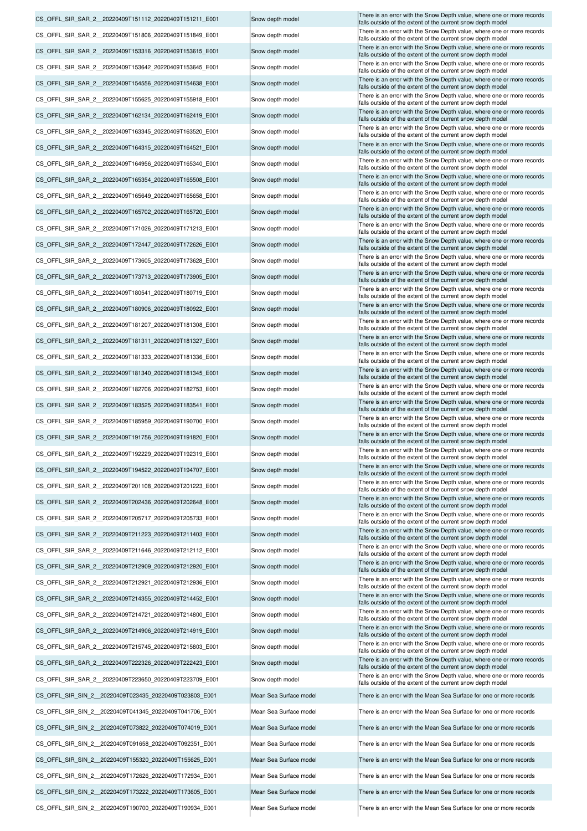|                                                         |                        | There is an error with the Snow Depth value, where one or more records                                                                |
|---------------------------------------------------------|------------------------|---------------------------------------------------------------------------------------------------------------------------------------|
| CS_OFFL_SIR_SAR_2__20220409T151112_20220409T151211_E001 | Snow depth model       | falls outside of the extent of the current snow depth model                                                                           |
| CS OFFL SIR SAR 2 20220409T151806 20220409T151849 E001  | Snow depth model       | There is an error with the Snow Depth value, where one or more records<br>falls outside of the extent of the current snow depth model |
| CS OFFL SIR SAR 2 20220409T153316 20220409T153615 E001  | Snow depth model       | There is an error with the Snow Depth value, where one or more records<br>falls outside of the extent of the current snow depth model |
| CS OFFL SIR SAR 2 20220409T153642 20220409T153645 E001  | Snow depth model       | There is an error with the Snow Depth value, where one or more records                                                                |
|                                                         |                        | falls outside of the extent of the current snow depth model<br>There is an error with the Snow Depth value, where one or more records |
| CS_OFFL_SIR_SAR_2_20220409T154556_20220409T154638_E001  | Snow depth model       | falls outside of the extent of the current snow depth model<br>There is an error with the Snow Depth value, where one or more records |
| CS_OFFL_SIR_SAR_2_20220409T155625_20220409T155918_E001  | Snow depth model       | falls outside of the extent of the current snow depth model                                                                           |
| CS_OFFL_SIR_SAR_2_20220409T162134_20220409T162419_E001  | Snow depth model       | There is an error with the Snow Depth value, where one or more records<br>falls outside of the extent of the current snow depth model |
| CS OFFL SIR SAR 2 20220409T163345 20220409T163520 E001  | Snow depth model       | There is an error with the Snow Depth value, where one or more records<br>falls outside of the extent of the current snow depth model |
| CS OFFL SIR SAR 2 20220409T164315 20220409T164521 E001  | Snow depth model       | There is an error with the Snow Depth value, where one or more records<br>falls outside of the extent of the current snow depth model |
| CS_OFFL_SIR_SAR_2_20220409T164956_20220409T165340_E001  | Snow depth model       | There is an error with the Snow Depth value, where one or more records                                                                |
|                                                         |                        | falls outside of the extent of the current snow depth model<br>There is an error with the Snow Depth value, where one or more records |
| CS OFFL SIR SAR 2 20220409T165354 20220409T165508 E001  | Snow depth model       | falls outside of the extent of the current snow depth model<br>There is an error with the Snow Depth value, where one or more records |
| CS_OFFL_SIR_SAR_2_20220409T165649_20220409T165658_E001  | Snow depth model       | falls outside of the extent of the current snow depth model                                                                           |
| CS_OFFL_SIR_SAR_2_20220409T165702_20220409T165720_E001  | Snow depth model       | There is an error with the Snow Depth value, where one or more records<br>falls outside of the extent of the current snow depth model |
| CS OFFL SIR SAR 2 20220409T171026 20220409T171213 E001  | Snow depth model       | There is an error with the Snow Depth value, where one or more records<br>falls outside of the extent of the current snow depth model |
| CS_OFFL_SIR_SAR_2_20220409T172447_20220409T172626_E001  | Snow depth model       | There is an error with the Snow Depth value, where one or more records<br>falls outside of the extent of the current snow depth model |
| CS OFFL SIR SAR 2 20220409T173605 20220409T173628 E001  | Snow depth model       | There is an error with the Snow Depth value, where one or more records<br>falls outside of the extent of the current snow depth model |
| CS_OFFL_SIR_SAR_2_20220409T173713_20220409T173905_E001  | Snow depth model       | There is an error with the Snow Depth value, where one or more records                                                                |
|                                                         |                        | falls outside of the extent of the current snow depth model<br>There is an error with the Snow Depth value, where one or more records |
| CS_OFFL_SIR_SAR_2_20220409T180541_20220409T180719_E001  | Snow depth model       | falls outside of the extent of the current snow depth model<br>There is an error with the Snow Depth value, where one or more records |
| CS_OFFL_SIR_SAR_2_20220409T180906_20220409T180922_E001  | Snow depth model       | falls outside of the extent of the current snow depth model                                                                           |
| CS_OFFL_SIR_SAR_2_20220409T181207_20220409T181308_E001  | Snow depth model       | There is an error with the Snow Depth value, where one or more records<br>falls outside of the extent of the current snow depth model |
| CS_OFFL_SIR_SAR_2_20220409T181311_20220409T181327_E001  | Snow depth model       | There is an error with the Snow Depth value, where one or more records<br>falls outside of the extent of the current snow depth model |
| CS_OFFL_SIR_SAR_2_20220409T181333_20220409T181336_E001  | Snow depth model       | There is an error with the Snow Depth value, where one or more records<br>falls outside of the extent of the current snow depth model |
| CS_OFFL_SIR_SAR_2_20220409T181340_20220409T181345_E001  | Snow depth model       | There is an error with the Snow Depth value, where one or more records<br>falls outside of the extent of the current snow depth model |
| CS_OFFL_SIR_SAR_2_20220409T182706_20220409T182753_E001  | Snow depth model       | There is an error with the Snow Depth value, where one or more records<br>falls outside of the extent of the current snow depth model |
| CS OFFL SIR SAR 2 20220409T183525 20220409T183541 E001  | Snow depth model       | There is an error with the Snow Depth value, where one or more records                                                                |
| CS OFFL SIR SAR 2 20220409T185959 20220409T190700 E001  | Snow depth model       | falls outside of the extent of the current snow depth model<br>There is an error with the Snow Depth value, where one or more records |
|                                                         |                        | falls outside of the extent of the current snow depth model<br>There is an error with the Snow Depth value, where one or more records |
| CS OFFL SIR SAR 2 20220409T191756 20220409T191820 E001  | Snow depth model       | falls outside of the extent of the current snow depth model<br>There is an error with the Snow Depth value, where one or more records |
| CS_OFFL_SIR_SAR_2_20220409T192229_20220409T192319_E001  | Snow depth model       | falls outside of the extent of the current snow depth model<br>There is an error with the Snow Depth value, where one or more records |
| CS OFFL SIR SAR 2 20220409T194522 20220409T194707 E001  | Snow depth model       | falls outside of the extent of the current snow depth model                                                                           |
| CS OFFL SIR SAR 2 20220409T201108 20220409T201223 E001  | Snow depth model       | There is an error with the Snow Depth value, where one or more records<br>falls outside of the extent of the current snow depth model |
| CS_OFFL_SIR_SAR_2_20220409T202436_20220409T202648_E001  | Snow depth model       | There is an error with the Snow Depth value, where one or more records<br>falls outside of the extent of the current snow depth model |
| CS OFFL SIR SAR 2 20220409T205717 20220409T205733 E001  | Snow depth model       | There is an error with the Snow Depth value, where one or more records<br>falls outside of the extent of the current snow depth model |
| CS_OFFL_SIR_SAR_2_20220409T211223_20220409T211403_E001  | Snow depth model       | There is an error with the Snow Depth value, where one or more records<br>falls outside of the extent of the current snow depth model |
| CS OFFL SIR SAR 2 20220409T211646 20220409T212112 E001  | Snow depth model       | There is an error with the Snow Depth value, where one or more records                                                                |
| CS_OFFL_SIR_SAR_2_20220409T212909_20220409T212920_E001  | Snow depth model       | falls outside of the extent of the current snow depth model<br>There is an error with the Snow Depth value, where one or more records |
| CS OFFL SIR SAR 2 20220409T212921 20220409T212936 E001  | Snow depth model       | falls outside of the extent of the current snow depth model<br>There is an error with the Snow Depth value, where one or more records |
|                                                         |                        | falls outside of the extent of the current snow depth model<br>There is an error with the Snow Depth value, where one or more records |
| CS OFFL SIR SAR 2 20220409T214355 20220409T214452 E001  | Snow depth model       | falls outside of the extent of the current snow depth model                                                                           |
| CS OFFL SIR SAR 2 20220409T214721 20220409T214800 E001  | Snow depth model       | There is an error with the Snow Depth value, where one or more records<br>falls outside of the extent of the current snow depth model |
| CS_OFFL_SIR_SAR_2_20220409T214906_20220409T214919_E001  | Snow depth model       | There is an error with the Snow Depth value, where one or more records<br>falls outside of the extent of the current snow depth model |
| CS OFFL SIR SAR 2 20220409T215745 20220409T215803 E001  | Snow depth model       | There is an error with the Snow Depth value, where one or more records<br>falls outside of the extent of the current snow depth model |
| CS OFFL SIR SAR 2 20220409T222326 20220409T222423 E001  | Snow depth model       | There is an error with the Snow Depth value, where one or more records<br>falls outside of the extent of the current snow depth model |
| CS_OFFL_SIR_SAR_2_20220409T223650_20220409T223709_E001  | Snow depth model       | There is an error with the Snow Depth value, where one or more records<br>falls outside of the extent of the current snow depth model |
| CS OFFL SIR SIN 2 20220409T023435 20220409T023803 E001  | Mean Sea Surface model | There is an error with the Mean Sea Surface for one or more records                                                                   |
| CS_OFFL_SIR_SIN_2_20220409T041345_20220409T041706_E001  | Mean Sea Surface model | There is an error with the Mean Sea Surface for one or more records                                                                   |
|                                                         |                        |                                                                                                                                       |
| CS_OFFL_SIR_SIN_2_20220409T073822_20220409T074019_E001  | Mean Sea Surface model | There is an error with the Mean Sea Surface for one or more records                                                                   |
| CS OFFL SIR SIN 2 20220409T091658 20220409T092351 E001  | Mean Sea Surface model | There is an error with the Mean Sea Surface for one or more records                                                                   |
| CS_OFFL_SIR_SIN_2_20220409T155320_20220409T155625_E001  | Mean Sea Surface model | There is an error with the Mean Sea Surface for one or more records                                                                   |
| CS OFFL SIR SIN 2 20220409T172626 20220409T172934 E001  | Mean Sea Surface model | There is an error with the Mean Sea Surface for one or more records                                                                   |
| CS OFFL SIR SIN 2 20220409T173222 20220409T173605 E001  | Mean Sea Surface model | There is an error with the Mean Sea Surface for one or more records                                                                   |
|                                                         |                        |                                                                                                                                       |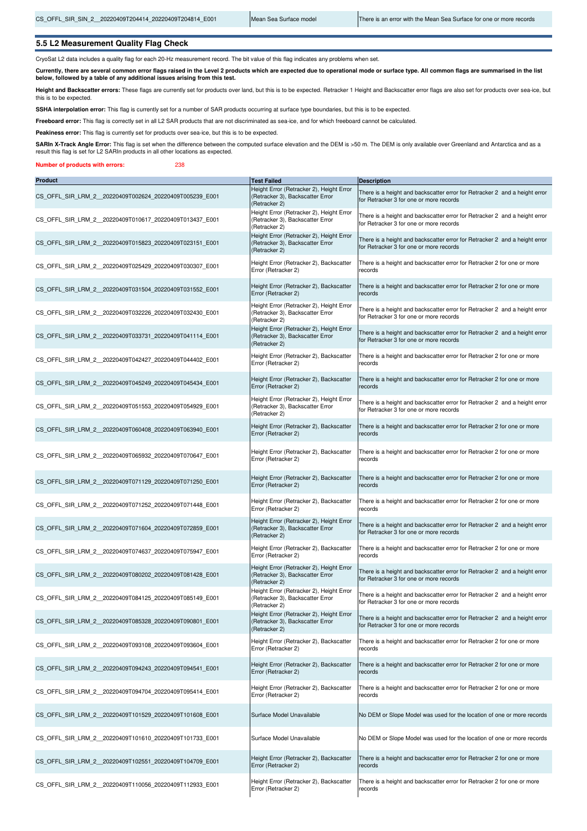## **5.5 L2 Measurement Quality Flag Check**

CryoSat L2 data includes a quality flag for each 20-Hz measurement record. The bit value of this flag indicates any problems when set.

**Currently, there are several common error flags raised in the Level 2 products which are expected due to operational mode or surface type. All common flags are summarised in the list below, followed by a table of any additional issues arising from this test.**

**Height and Backscatter errors:** These flags are currently set for products over land, but this is to be expected. Retracker 1 Height and Backscatter error flags are also set for products over sea-ice, but this is to be expected.

SSHA interpolation error: This flag is currently set for a number of SAR products occurring at surface type boundaries, but this is to be expected.

**Freeboard error:** This flag is correctly set in all L2 SAR products that are not discriminated as sea-ice, and for which freeboard cannot be calculated.

Peakiness error: This flag is currently set for products over sea-ice, but this is to be expected.

SARIn X-Track Angle Error: This flag is set when the difference between the computed surface elevation and the DEM is >50 m. The DEM is only available over Greenland and Antarctica and as a result this flag is set for L2 SARIn products in all other locations as expected.

**Number of products with errors:** 238

| <b>Product</b>                                          | <b>Test Failed</b>                                                                            | <b>Description</b>                                                                                                    |
|---------------------------------------------------------|-----------------------------------------------------------------------------------------------|-----------------------------------------------------------------------------------------------------------------------|
| CS_OFFL_SIR_LRM_2_20220409T002624_20220409T005239_E001  | Height Error (Retracker 2), Height Error<br>(Retracker 3), Backscatter Error<br>(Retracker 2) | There is a height and backscatter error for Retracker 2 and a height error<br>for Retracker 3 for one or more records |
| CS_OFFL_SIR_LRM_2__20220409T010617_20220409T013437_E001 | Height Error (Retracker 2), Height Error<br>(Retracker 3), Backscatter Error<br>(Retracker 2) | There is a height and backscatter error for Retracker 2 and a height error<br>for Retracker 3 for one or more records |
| CS OFFL SIR LRM 2 20220409T015823 20220409T023151 E001  | Height Error (Retracker 2), Height Error<br>(Retracker 3), Backscatter Error<br>(Retracker 2) | There is a height and backscatter error for Retracker 2 and a height error<br>for Retracker 3 for one or more records |
| CS OFFL SIR LRM 2 20220409T025429 20220409T030307 E001  | Height Error (Retracker 2), Backscatter<br>Error (Retracker 2)                                | There is a height and backscatter error for Retracker 2 for one or more<br>records                                    |
| CS_OFFL_SIR_LRM_2_20220409T031504_20220409T031552_E001  | Height Error (Retracker 2), Backscatter<br>Error (Retracker 2)                                | There is a height and backscatter error for Retracker 2 for one or more<br>records                                    |
| CS OFFL SIR LRM 2 20220409T032226 20220409T032430 E001  | Height Error (Retracker 2), Height Error<br>(Retracker 3), Backscatter Error<br>(Retracker 2) | There is a height and backscatter error for Retracker 2 and a height error<br>for Retracker 3 for one or more records |
| CS OFFL SIR LRM 2 20220409T033731 20220409T041114 E001  | Height Error (Retracker 2), Height Error<br>(Retracker 3), Backscatter Error<br>(Retracker 2) | There is a height and backscatter error for Retracker 2 and a height error<br>for Retracker 3 for one or more records |
| CS OFFL SIR LRM 2 20220409T042427 20220409T044402 E001  | Height Error (Retracker 2), Backscatter<br>Error (Retracker 2)                                | There is a height and backscatter error for Retracker 2 for one or more<br>records                                    |
| CS OFFL SIR LRM 2 20220409T045249 20220409T045434 E001  | Height Error (Retracker 2), Backscatter<br>Error (Retracker 2)                                | There is a height and backscatter error for Retracker 2 for one or more<br>records                                    |
| CS OFFL SIR LRM 2 20220409T051553 20220409T054929 E001  | Height Error (Retracker 2), Height Error<br>(Retracker 3), Backscatter Error<br>(Retracker 2) | There is a height and backscatter error for Retracker 2 and a height error<br>for Retracker 3 for one or more records |
| CS OFFL SIR LRM 2 20220409T060408 20220409T063940 E001  | Height Error (Retracker 2), Backscatter<br>Error (Retracker 2)                                | There is a height and backscatter error for Retracker 2 for one or more<br>records                                    |
| CS OFFL SIR LRM 2 20220409T065932 20220409T070647 E001  | Height Error (Retracker 2), Backscatter<br>Error (Retracker 2)                                | There is a height and backscatter error for Retracker 2 for one or more<br>records                                    |
| CS OFFL SIR LRM 2 20220409T071129 20220409T071250 E001  | Height Error (Retracker 2), Backscatter<br>Error (Retracker 2)                                | There is a height and backscatter error for Retracker 2 for one or more<br>records                                    |
| CS OFFL SIR LRM 2 20220409T071252 20220409T071448 E001  | Height Error (Retracker 2), Backscatter<br>Error (Retracker 2)                                | There is a height and backscatter error for Retracker 2 for one or more<br>records                                    |
| CS OFFL SIR LRM 2 20220409T071604 20220409T072859 E001  | Height Error (Retracker 2), Height Error<br>(Retracker 3), Backscatter Error<br>(Retracker 2) | There is a height and backscatter error for Retracker 2 and a height error<br>for Retracker 3 for one or more records |
| CS OFFL SIR LRM 2 20220409T074637 20220409T075947 E001  | Height Error (Retracker 2), Backscatter<br>Error (Retracker 2)                                | There is a height and backscatter error for Retracker 2 for one or more<br>records                                    |
| CS_OFFL_SIR_LRM_2_20220409T080202_20220409T081428_E001  | Height Error (Retracker 2), Height Error<br>(Retracker 3), Backscatter Error<br>(Retracker 2) | There is a height and backscatter error for Retracker 2 and a height error<br>for Retracker 3 for one or more records |
| CS_OFFL_SIR_LRM_2__20220409T084125_20220409T085149_E001 | Height Error (Retracker 2), Height Error<br>(Retracker 3), Backscatter Error<br>(Retracker 2) | There is a height and backscatter error for Retracker 2 and a height error<br>for Retracker 3 for one or more records |
| CS_OFFL_SIR_LRM_2_20220409T085328_20220409T090801_E001  | Height Error (Retracker 2), Height Error<br>(Retracker 3), Backscatter Error<br>(Retracker 2) | There is a height and backscatter error for Retracker 2 and a height error<br>for Retracker 3 for one or more records |
| CS OFFL SIR LRM 2 20220409T093108 20220409T093604 E001  | Height Error (Retracker 2), Backscatter<br>Error (Retracker 2)                                | There is a height and backscatter error for Retracker 2 for one or more<br>records                                    |
| CS OFFL SIR LRM 2 20220409T094243 20220409T094541 E001  | Height Error (Retracker 2), Backscatter<br>Error (Retracker 2)                                | There is a height and backscatter error for Retracker 2 for one or more<br>records                                    |
| CS OFFL SIR LRM 2 20220409T094704 20220409T095414 E001  | Height Error (Retracker 2), Backscatter<br>Error (Retracker 2)                                | There is a height and backscatter error for Retracker 2 for one or more<br>records                                    |
| CS OFFL SIR LRM 2 20220409T101529 20220409T101608 E001  | Surface Model Unavailable                                                                     | No DEM or Slope Model was used for the location of one or more records                                                |
| CS OFFL SIR LRM 2 20220409T101610 20220409T101733 E001  | Surface Model Unavailable                                                                     | No DEM or Slope Model was used for the location of one or more records                                                |
| CS OFFL SIR LRM 2 20220409T102551 20220409T104709 E001  | Height Error (Retracker 2), Backscatter<br>Error (Retracker 2)                                | There is a height and backscatter error for Retracker 2 for one or more<br>records                                    |
| CS OFFL SIR LRM 2 20220409T110056 20220409T112933 E001  | Height Error (Retracker 2), Backscatter<br>Error (Retracker 2)                                | There is a height and backscatter error for Retracker 2 for one or more<br>records                                    |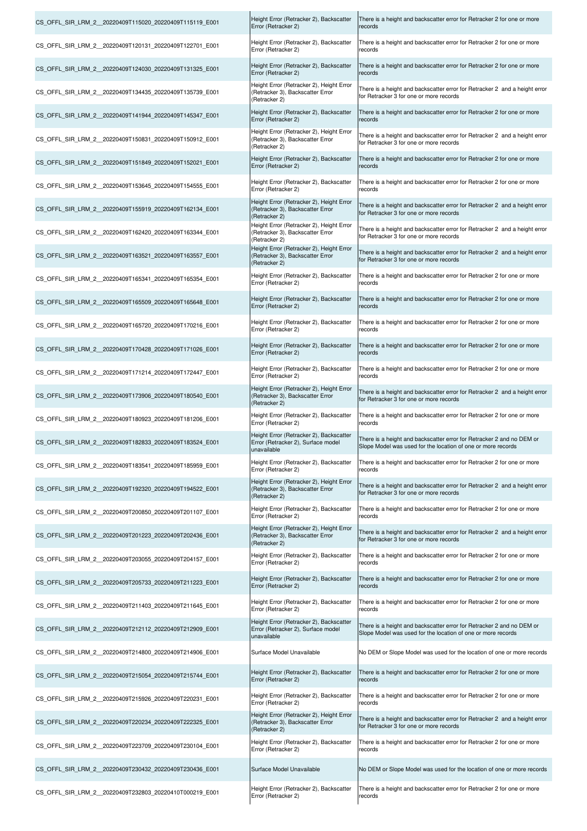| CS OFFL SIR LRM 2 20220409T115020 20220409T115119 E001 | Height Error (Retracker 2), Backscatter<br>Error (Retracker 2)                                | There is a height and backscatter error for Retracker 2 for one or more<br>records                                                    |
|--------------------------------------------------------|-----------------------------------------------------------------------------------------------|---------------------------------------------------------------------------------------------------------------------------------------|
| CS OFFL SIR LRM 2 20220409T120131 20220409T122701 E001 | Height Error (Retracker 2), Backscatter<br>Error (Retracker 2)                                | There is a height and backscatter error for Retracker 2 for one or more<br>records                                                    |
| CS OFFL SIR LRM 2 20220409T124030 20220409T131325 E001 | Height Error (Retracker 2), Backscatter<br>Error (Retracker 2)                                | There is a height and backscatter error for Retracker 2 for one or more<br>records                                                    |
| CS OFFL SIR LRM 2 20220409T134435 20220409T135739 E001 | Height Error (Retracker 2), Height Error<br>(Retracker 3), Backscatter Error<br>(Retracker 2) | There is a height and backscatter error for Retracker 2 and a height error<br>for Retracker 3 for one or more records                 |
| CS OFFL SIR LRM 2 20220409T141944 20220409T145347 E001 | Height Error (Retracker 2), Backscatter<br>Error (Retracker 2)                                | There is a height and backscatter error for Retracker 2 for one or more<br>records                                                    |
| CS OFFL SIR LRM 2 20220409T150831 20220409T150912 E001 | Height Error (Retracker 2), Height Error<br>(Retracker 3), Backscatter Error<br>(Retracker 2) | There is a height and backscatter error for Retracker 2 and a height error<br>for Retracker 3 for one or more records                 |
| CS OFFL SIR LRM 2 20220409T151849 20220409T152021 E001 | Height Error (Retracker 2), Backscatter<br>Error (Retracker 2)                                | There is a height and backscatter error for Retracker 2 for one or more<br>records                                                    |
| CS OFFL SIR LRM 2 20220409T153645 20220409T154555 E001 | Height Error (Retracker 2), Backscatter<br>Error (Retracker 2)                                | There is a height and backscatter error for Retracker 2 for one or more<br>records                                                    |
| CS OFFL SIR LRM 2 20220409T155919 20220409T162134 E001 | Height Error (Retracker 2), Height Error<br>(Retracker 3), Backscatter Error<br>(Retracker 2) | There is a height and backscatter error for Retracker 2 and a height error<br>for Retracker 3 for one or more records                 |
| CS OFFL SIR LRM 2 20220409T162420 20220409T163344 E001 | Height Error (Retracker 2), Height Error<br>(Retracker 3), Backscatter Error<br>(Retracker 2) | There is a height and backscatter error for Retracker 2 and a height error<br>for Retracker 3 for one or more records                 |
| CS OFFL SIR LRM 2 20220409T163521 20220409T163557 E001 | Height Error (Retracker 2), Height Error<br>(Retracker 3), Backscatter Error<br>(Retracker 2) | There is a height and backscatter error for Retracker 2 and a height error<br>for Retracker 3 for one or more records                 |
| CS OFFL SIR LRM 2 20220409T165341 20220409T165354 E001 | Height Error (Retracker 2), Backscatter<br>Error (Retracker 2)                                | There is a height and backscatter error for Retracker 2 for one or more<br>records                                                    |
| CS OFFL SIR LRM 2 20220409T165509 20220409T165648 E001 | Height Error (Retracker 2), Backscatter<br>Error (Retracker 2)                                | There is a height and backscatter error for Retracker 2 for one or more<br>records                                                    |
| CS OFFL SIR LRM 2 20220409T165720 20220409T170216 E001 | Height Error (Retracker 2), Backscatter<br>Error (Retracker 2)                                | There is a height and backscatter error for Retracker 2 for one or more<br>records                                                    |
| CS OFFL SIR LRM 2 20220409T170428 20220409T171026 E001 | Height Error (Retracker 2), Backscatter<br>Error (Retracker 2)                                | There is a height and backscatter error for Retracker 2 for one or more<br>records                                                    |
| CS OFFL SIR LRM 2 20220409T171214 20220409T172447 E001 | Height Error (Retracker 2), Backscatter<br>Error (Retracker 2)                                | There is a height and backscatter error for Retracker 2 for one or more<br>records                                                    |
| CS OFFL SIR LRM 2 20220409T173906 20220409T180540 E001 | Height Error (Retracker 2), Height Error<br>(Retracker 3), Backscatter Error<br>(Retracker 2) | There is a height and backscatter error for Retracker 2 and a height error<br>for Retracker 3 for one or more records                 |
| CS OFFL SIR LRM 2 20220409T180923 20220409T181206 E001 | Height Error (Retracker 2), Backscatter<br>Error (Retracker 2)                                | There is a height and backscatter error for Retracker 2 for one or more<br>records                                                    |
| CS OFFL SIR LRM 2 20220409T182833 20220409T183524 E001 | Height Error (Retracker 2), Backscatter<br>Error (Retracker 2), Surface model<br>unavailable  | There is a height and backscatter error for Retracker 2 and no DEM or<br>Slope Model was used for the location of one or more records |
| CS OFFL SIR LRM 2 20220409T183541 20220409T185959 E001 | Height Error (Retracker 2), Backscatter<br>Error (Retracker 2)                                | There is a height and backscatter error for Retracker 2 for one or more<br>records                                                    |
| CS OFFL SIR LRM 2 20220409T192320 20220409T194522 E001 | Height Error (Retracker 2), Height Error<br>(Retracker 3), Backscatter Error<br>(Retracker 2) | There is a height and backscatter error for Retracker 2 and a height error<br>for Retracker 3 for one or more records                 |
| CS OFFL SIR LRM 2 20220409T200850 20220409T201107 E001 | Height Error (Retracker 2), Backscatter<br>Error (Retracker 2)                                | There is a height and backscatter error for Retracker 2 for one or more<br>records                                                    |
| CS OFFL SIR LRM 2 20220409T201223 20220409T202436 E001 | Height Error (Retracker 2), Height Error<br>(Retracker 3), Backscatter Error<br>(Retracker 2) | There is a height and backscatter error for Retracker 2 and a height error<br>for Retracker 3 for one or more records                 |
| CS OFFL SIR LRM 2 20220409T203055 20220409T204157 E001 | Height Error (Retracker 2), Backscatter<br>Error (Retracker 2)                                | There is a height and backscatter error for Retracker 2 for one or more<br>records                                                    |
| CS OFFL SIR LRM 2 20220409T205733 20220409T211223 E001 | Height Error (Retracker 2), Backscatter<br>Error (Retracker 2)                                | There is a height and backscatter error for Retracker 2 for one or more<br>records                                                    |
| CS OFFL SIR LRM 2 20220409T211403 20220409T211645 E001 | Height Error (Retracker 2), Backscatter<br>Error (Retracker 2)                                | There is a height and backscatter error for Retracker 2 for one or more<br>records                                                    |
| CS OFFL SIR LRM 2 20220409T212112 20220409T212909 E001 | Height Error (Retracker 2), Backscatter<br>Error (Retracker 2), Surface model<br>unavailable  | There is a height and backscatter error for Retracker 2 and no DEM or<br>Slope Model was used for the location of one or more records |
| CS OFFL SIR LRM 2 20220409T214800 20220409T214906 E001 | Surface Model Unavailable                                                                     | No DEM or Slope Model was used for the location of one or more records                                                                |
| CS OFFL SIR LRM 2 20220409T215054 20220409T215744 E001 | Height Error (Retracker 2), Backscatter<br>Error (Retracker 2)                                | There is a height and backscatter error for Retracker 2 for one or more<br>records                                                    |
| CS OFFL SIR LRM 2 20220409T215926 20220409T220231 E001 | Height Error (Retracker 2), Backscatter<br>Error (Retracker 2)                                | There is a height and backscatter error for Retracker 2 for one or more<br>records                                                    |
| CS OFFL SIR LRM 2 20220409T220234 20220409T222325 E001 | Height Error (Retracker 2), Height Error<br>(Retracker 3), Backscatter Error<br>(Retracker 2) | There is a height and backscatter error for Retracker 2 and a height error<br>for Retracker 3 for one or more records                 |
| CS OFFL SIR LRM 2 20220409T223709 20220409T230104 E001 | Height Error (Retracker 2), Backscatter<br>Error (Retracker 2)                                | There is a height and backscatter error for Retracker 2 for one or more<br>records                                                    |
| CS OFFL SIR LRM 2 20220409T230432 20220409T230436 E001 | Surface Model Unavailable                                                                     | No DEM or Slope Model was used for the location of one or more records                                                                |
| CS OFFL SIR LRM 2 20220409T232803 20220410T000219 E001 | Height Error (Retracker 2), Backscatter<br>Error (Retracker 2)                                | There is a height and backscatter error for Retracker 2 for one or more<br>records                                                    |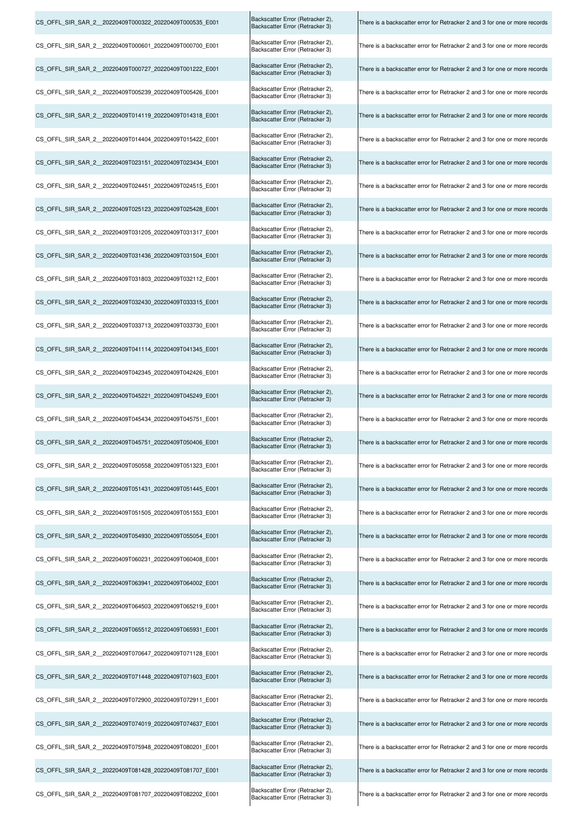| CS_OFFL_SIR_SAR_2_20220409T000322_20220409T000535_E001 | Backscatter Error (Retracker 2),<br>Backscatter Error (Retracker 3) | There is a backscatter error for Retracker 2 and 3 for one or more records |
|--------------------------------------------------------|---------------------------------------------------------------------|----------------------------------------------------------------------------|
| CS_OFFL_SIR_SAR_2_20220409T000601_20220409T000700_E001 | Backscatter Error (Retracker 2),<br>Backscatter Error (Retracker 3) | There is a backscatter error for Retracker 2 and 3 for one or more records |
| CS OFFL SIR SAR 2 20220409T000727 20220409T001222 E001 | Backscatter Error (Retracker 2),<br>Backscatter Error (Retracker 3) | There is a backscatter error for Retracker 2 and 3 for one or more records |
| CS OFFL SIR SAR 2 20220409T005239 20220409T005426 E001 | Backscatter Error (Retracker 2),<br>Backscatter Error (Retracker 3) | There is a backscatter error for Retracker 2 and 3 for one or more records |
| CS_OFFL_SIR_SAR_2_20220409T014119_20220409T014318_E001 | Backscatter Error (Retracker 2),<br>Backscatter Error (Retracker 3) | There is a backscatter error for Retracker 2 and 3 for one or more records |
| CS OFFL SIR SAR 2 20220409T014404 20220409T015422 E001 | Backscatter Error (Retracker 2),<br>Backscatter Error (Retracker 3) | There is a backscatter error for Retracker 2 and 3 for one or more records |
| CS_OFFL_SIR_SAR_2_20220409T023151_20220409T023434_E001 | Backscatter Error (Retracker 2),<br>Backscatter Error (Retracker 3) | There is a backscatter error for Retracker 2 and 3 for one or more records |
| CS OFFL SIR SAR 2 20220409T024451 20220409T024515 E001 | Backscatter Error (Retracker 2),<br>Backscatter Error (Retracker 3) | There is a backscatter error for Retracker 2 and 3 for one or more records |
| CS_OFFL_SIR_SAR_2_20220409T025123_20220409T025428_E001 | Backscatter Error (Retracker 2),<br>Backscatter Error (Retracker 3) | There is a backscatter error for Retracker 2 and 3 for one or more records |
| CS_OFFL_SIR_SAR_2_20220409T031205_20220409T031317_E001 | Backscatter Error (Retracker 2),<br>Backscatter Error (Retracker 3) | There is a backscatter error for Retracker 2 and 3 for one or more records |
| CS_OFFL_SIR_SAR_2_20220409T031436_20220409T031504_E001 | Backscatter Error (Retracker 2),<br>Backscatter Error (Retracker 3) | There is a backscatter error for Retracker 2 and 3 for one or more records |
| CS OFFL SIR SAR 2 20220409T031803 20220409T032112 E001 | Backscatter Error (Retracker 2),<br>Backscatter Error (Retracker 3) | There is a backscatter error for Retracker 2 and 3 for one or more records |
| CS_OFFL_SIR_SAR_2_20220409T032430_20220409T033315_E001 | Backscatter Error (Retracker 2),<br>Backscatter Error (Retracker 3) | There is a backscatter error for Retracker 2 and 3 for one or more records |
| CS_OFFL_SIR_SAR_2_20220409T033713_20220409T033730_E001 | Backscatter Error (Retracker 2),<br>Backscatter Error (Retracker 3) | There is a backscatter error for Retracker 2 and 3 for one or more records |
| CS OFFL SIR SAR 2 20220409T041114 20220409T041345 E001 | Backscatter Error (Retracker 2),<br>Backscatter Error (Retracker 3) | There is a backscatter error for Retracker 2 and 3 for one or more records |
| CS OFFL SIR SAR 2 20220409T042345 20220409T042426 E001 | Backscatter Error (Retracker 2),<br>Backscatter Error (Retracker 3) | There is a backscatter error for Retracker 2 and 3 for one or more records |
| CS OFFL SIR SAR 2 20220409T045221 20220409T045249 E001 | Backscatter Error (Retracker 2),<br>Backscatter Error (Retracker 3) | There is a backscatter error for Retracker 2 and 3 for one or more records |
| CS_OFFL_SIR_SAR_2_20220409T045434_20220409T045751_E001 | Backscatter Error (Retracker 2),<br>Backscatter Error (Retracker 3) | There is a backscatter error for Retracker 2 and 3 for one or more records |
| CS_OFFL_SIR_SAR_2_20220409T045751_20220409T050406_E001 | Backscatter Error (Retracker 2),<br>Backscatter Error (Retracker 3) | There is a backscatter error for Retracker 2 and 3 for one or more records |
| CS OFFL SIR SAR 2 20220409T050558 20220409T051323 E001 | Backscatter Error (Retracker 2),<br>Backscatter Error (Retracker 3) | There is a backscatter error for Retracker 2 and 3 for one or more records |
| CS OFFL SIR SAR 2 20220409T051431 20220409T051445 E001 | Backscatter Error (Retracker 2),<br>Backscatter Error (Retracker 3) | There is a backscatter error for Retracker 2 and 3 for one or more records |
| CS OFFL SIR SAR 2 20220409T051505 20220409T051553 E001 | Backscatter Error (Retracker 2),<br>Backscatter Error (Retracker 3) | There is a backscatter error for Retracker 2 and 3 for one or more records |
| CS OFFL SIR SAR 2 20220409T054930 20220409T055054 E001 | Backscatter Error (Retracker 2),<br>Backscatter Error (Retracker 3) | There is a backscatter error for Retracker 2 and 3 for one or more records |
| CS OFFL SIR SAR 2 20220409T060231 20220409T060408 E001 | Backscatter Error (Retracker 2),<br>Backscatter Error (Retracker 3) | There is a backscatter error for Retracker 2 and 3 for one or more records |
| CS OFFL SIR SAR 2 20220409T063941 20220409T064002 E001 | Backscatter Error (Retracker 2),<br>Backscatter Error (Retracker 3) | There is a backscatter error for Retracker 2 and 3 for one or more records |
| CS OFFL SIR SAR 2 20220409T064503 20220409T065219 E001 | Backscatter Error (Retracker 2),<br>Backscatter Error (Retracker 3) | There is a backscatter error for Retracker 2 and 3 for one or more records |
| CS OFFL SIR SAR 2 20220409T065512 20220409T065931 E001 | Backscatter Error (Retracker 2),<br>Backscatter Error (Retracker 3) | There is a backscatter error for Retracker 2 and 3 for one or more records |
| CS OFFL SIR SAR 2 20220409T070647 20220409T071128 E001 | Backscatter Error (Retracker 2),<br>Backscatter Error (Retracker 3) | There is a backscatter error for Retracker 2 and 3 for one or more records |
| CS_OFFL_SIR_SAR_2_20220409T071448_20220409T071603_E001 | Backscatter Error (Retracker 2),<br>Backscatter Error (Retracker 3) | There is a backscatter error for Retracker 2 and 3 for one or more records |
| CS OFFL SIR SAR 2 20220409T072900 20220409T072911 E001 | Backscatter Error (Retracker 2),<br>Backscatter Error (Retracker 3) | There is a backscatter error for Retracker 2 and 3 for one or more records |
| CS_OFFL_SIR_SAR_2_20220409T074019_20220409T074637_E001 | Backscatter Error (Retracker 2),<br>Backscatter Error (Retracker 3) | There is a backscatter error for Retracker 2 and 3 for one or more records |
| CS OFFL SIR SAR 2 20220409T075948 20220409T080201 E001 | Backscatter Error (Retracker 2),<br>Backscatter Error (Retracker 3) | There is a backscatter error for Retracker 2 and 3 for one or more records |
| CS_OFFL_SIR_SAR_2_20220409T081428_20220409T081707_E001 | Backscatter Error (Retracker 2),<br>Backscatter Error (Retracker 3) | There is a backscatter error for Retracker 2 and 3 for one or more records |
| CS OFFL SIR SAR 2 20220409T081707 20220409T082202 E001 | Backscatter Error (Retracker 2),<br>Backscatter Error (Retracker 3) | There is a backscatter error for Retracker 2 and 3 for one or more records |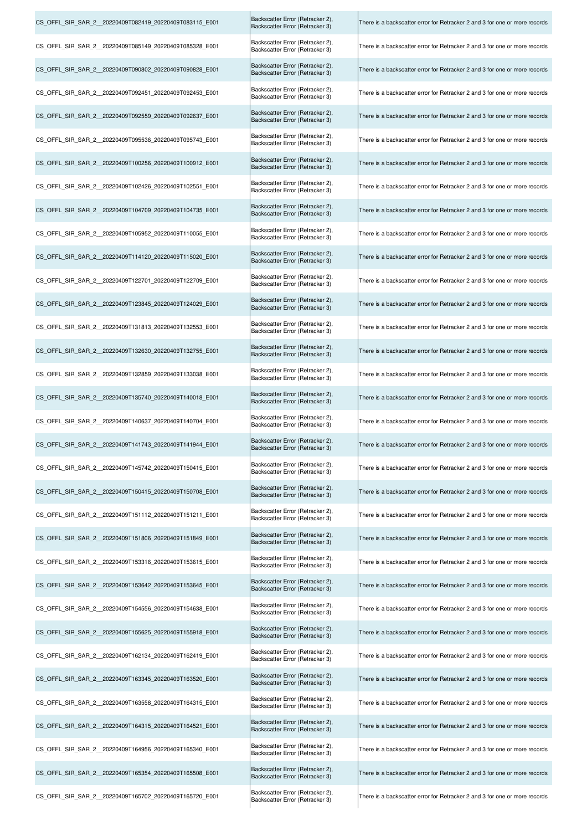| CS OFFL SIR SAR 2 20220409T082419 20220409T083115 E001 | Backscatter Error (Retracker 2),<br>Backscatter Error (Retracker 3) | There is a backscatter error for Retracker 2 and 3 for one or more records |
|--------------------------------------------------------|---------------------------------------------------------------------|----------------------------------------------------------------------------|
| CS OFFL SIR SAR 2 20220409T085149 20220409T085328 E001 | Backscatter Error (Retracker 2),<br>Backscatter Error (Retracker 3) | There is a backscatter error for Retracker 2 and 3 for one or more records |
| CS OFFL SIR SAR 2 20220409T090802 20220409T090828 E001 | Backscatter Error (Retracker 2),<br>Backscatter Error (Retracker 3) | There is a backscatter error for Retracker 2 and 3 for one or more records |
| CS_OFFL_SIR_SAR_2_20220409T092451_20220409T092453_E001 | Backscatter Error (Retracker 2),<br>Backscatter Error (Retracker 3) | There is a backscatter error for Retracker 2 and 3 for one or more records |
| CS_OFFL_SIR_SAR_2_20220409T092559_20220409T092637_E001 | Backscatter Error (Retracker 2),<br>Backscatter Error (Retracker 3) | There is a backscatter error for Retracker 2 and 3 for one or more records |
| CS_OFFL_SIR_SAR_2_20220409T095536_20220409T095743_E001 | Backscatter Error (Retracker 2),<br>Backscatter Error (Retracker 3) | There is a backscatter error for Retracker 2 and 3 for one or more records |
| CS_OFFL_SIR_SAR_2_20220409T100256_20220409T100912_E001 | Backscatter Error (Retracker 2),<br>Backscatter Error (Retracker 3) | There is a backscatter error for Retracker 2 and 3 for one or more records |
| CS OFFL SIR SAR 2 20220409T102426 20220409T102551 E001 | Backscatter Error (Retracker 2),<br>Backscatter Error (Retracker 3) | There is a backscatter error for Retracker 2 and 3 for one or more records |
| CS OFFL SIR SAR_2_20220409T104709_20220409T104735_E001 | Backscatter Error (Retracker 2),<br>Backscatter Error (Retracker 3) | There is a backscatter error for Retracker 2 and 3 for one or more records |
| CS_OFFL_SIR_SAR_2_20220409T105952_20220409T110055_E001 | Backscatter Error (Retracker 2),<br>Backscatter Error (Retracker 3) | There is a backscatter error for Retracker 2 and 3 for one or more records |
| CS_OFFL_SIR_SAR_2_20220409T114120_20220409T115020_E001 | Backscatter Error (Retracker 2),<br>Backscatter Error (Retracker 3) | There is a backscatter error for Retracker 2 and 3 for one or more records |
| CS OFFL SIR SAR 2 20220409T122701 20220409T122709 E001 | Backscatter Error (Retracker 2),<br>Backscatter Error (Retracker 3) | There is a backscatter error for Retracker 2 and 3 for one or more records |
| CS OFFL SIR SAR 2 20220409T123845 20220409T124029 E001 | Backscatter Error (Retracker 2),<br>Backscatter Error (Retracker 3) | There is a backscatter error for Retracker 2 and 3 for one or more records |
| CS OFFL SIR SAR 2 20220409T131813 20220409T132553 E001 | Backscatter Error (Retracker 2),<br>Backscatter Error (Retracker 3) | There is a backscatter error for Retracker 2 and 3 for one or more records |
| CS OFFL SIR SAR 2 20220409T132630 20220409T132755 E001 | Backscatter Error (Retracker 2),<br>Backscatter Error (Retracker 3) | There is a backscatter error for Retracker 2 and 3 for one or more records |
| CS OFFL SIR SAR 2 20220409T132859 20220409T133038 E001 | Backscatter Error (Retracker 2),<br>Backscatter Error (Retracker 3) | There is a backscatter error for Retracker 2 and 3 for one or more records |
| CS_OFFL_SIR_SAR_2_20220409T135740_20220409T140018_E001 | Backscatter Error (Retracker 2),<br>Backscatter Error (Retracker 3) | There is a backscatter error for Retracker 2 and 3 for one or more records |
| CS_OFFL_SIR_SAR_2_20220409T140637_20220409T140704_E001 | Backscatter Error (Retracker 2),<br>Backscatter Error (Retracker 3) | There is a backscatter error for Retracker 2 and 3 for one or more records |
| CS_OFFL_SIR_SAR_2_20220409T141743_20220409T141944_E001 | Backscatter Error (Retracker 2),<br>Backscatter Error (Retracker 3) | There is a backscatter error for Retracker 2 and 3 for one or more records |
| CS OFFL SIR SAR 2 20220409T145742 20220409T150415 E001 | Backscatter Error (Retracker 2),<br>Backscatter Error (Retracker 3) | There is a backscatter error for Retracker 2 and 3 for one or more records |
| CS OFFL SIR SAR 2 20220409T150415 20220409T150708 E001 | Backscatter Error (Retracker 2),<br>Backscatter Error (Retracker 3) | There is a backscatter error for Retracker 2 and 3 for one or more records |
| CS OFFL SIR SAR 2 20220409T151112 20220409T151211 E001 | Backscatter Error (Retracker 2),<br>Backscatter Error (Retracker 3) | There is a backscatter error for Retracker 2 and 3 for one or more records |
| CS OFFL SIR SAR 2 20220409T151806 20220409T151849 E001 | Backscatter Error (Retracker 2),<br>Backscatter Error (Retracker 3) | There is a backscatter error for Retracker 2 and 3 for one or more records |
| CS_OFFL_SIR_SAR_2_20220409T153316_20220409T153615_E001 | Backscatter Error (Retracker 2),<br>Backscatter Error (Retracker 3) | There is a backscatter error for Retracker 2 and 3 for one or more records |
| CS OFFL SIR SAR 2 20220409T153642 20220409T153645 E001 | Backscatter Error (Retracker 2),<br>Backscatter Error (Retracker 3) | There is a backscatter error for Retracker 2 and 3 for one or more records |
| CS OFFL SIR SAR 2 20220409T154556 20220409T154638 E001 | Backscatter Error (Retracker 2),<br>Backscatter Error (Retracker 3) | There is a backscatter error for Retracker 2 and 3 for one or more records |
| CS OFFL SIR SAR 2 20220409T155625 20220409T155918 E001 | Backscatter Error (Retracker 2),<br>Backscatter Error (Retracker 3) | There is a backscatter error for Retracker 2 and 3 for one or more records |
| CS OFFL SIR SAR 2 20220409T162134 20220409T162419 E001 | Backscatter Error (Retracker 2),<br>Backscatter Error (Retracker 3) | There is a backscatter error for Retracker 2 and 3 for one or more records |
| CS OFFL SIR SAR 2 20220409T163345 20220409T163520 E001 | Backscatter Error (Retracker 2),<br>Backscatter Error (Retracker 3) | There is a backscatter error for Retracker 2 and 3 for one or more records |
| CS OFFL SIR SAR 2 20220409T163558 20220409T164315 E001 | Backscatter Error (Retracker 2),<br>Backscatter Error (Retracker 3) | There is a backscatter error for Retracker 2 and 3 for one or more records |
| CS_OFFL_SIR_SAR_2_20220409T164315_20220409T164521_E001 | Backscatter Error (Retracker 2),<br>Backscatter Error (Retracker 3) | There is a backscatter error for Retracker 2 and 3 for one or more records |
| CS_OFFL_SIR_SAR_2_20220409T164956_20220409T165340_E001 | Backscatter Error (Retracker 2),<br>Backscatter Error (Retracker 3) | There is a backscatter error for Retracker 2 and 3 for one or more records |
| CS OFFL SIR SAR 2 20220409T165354 20220409T165508 E001 | Backscatter Error (Retracker 2),<br>Backscatter Error (Retracker 3) | There is a backscatter error for Retracker 2 and 3 for one or more records |
| CS OFFL SIR SAR 2 20220409T165702 20220409T165720 E001 | Backscatter Error (Retracker 2),<br>Backscatter Error (Retracker 3) | There is a backscatter error for Retracker 2 and 3 for one or more records |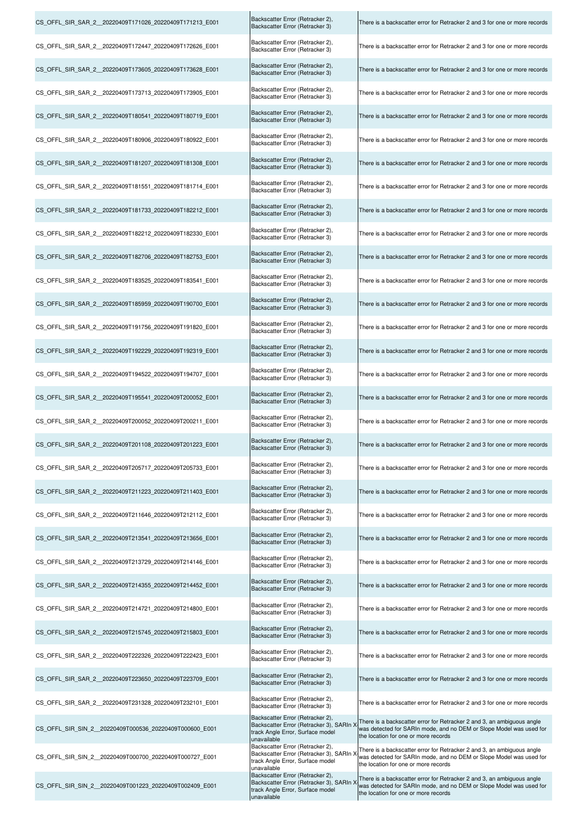| CS_OFFL_SIR_SAR_2_20220409T171026_20220409T171213_E001  | Backscatter Error (Retracker 2),<br>Backscatter Error (Retracker 3)                                                                                                 | There is a backscatter error for Retracker 2 and 3 for one or more records                                                                                                            |
|---------------------------------------------------------|---------------------------------------------------------------------------------------------------------------------------------------------------------------------|---------------------------------------------------------------------------------------------------------------------------------------------------------------------------------------|
| CS OFFL SIR SAR 2 20220409T172447 20220409T172626 E001  | Backscatter Error (Retracker 2),<br>Backscatter Error (Retracker 3)                                                                                                 | There is a backscatter error for Retracker 2 and 3 for one or more records                                                                                                            |
| CS OFFL SIR SAR 2 20220409T173605 20220409T173628 E001  | Backscatter Error (Retracker 2),<br>Backscatter Error (Retracker 3)                                                                                                 | There is a backscatter error for Retracker 2 and 3 for one or more records                                                                                                            |
| CS OFFL SIR SAR 2 20220409T173713 20220409T173905 E001  | Backscatter Error (Retracker 2),<br>Backscatter Error (Retracker 3)                                                                                                 | There is a backscatter error for Retracker 2 and 3 for one or more records                                                                                                            |
| CS OFFL SIR SAR 2 20220409T180541 20220409T180719 E001  | Backscatter Error (Retracker 2),<br>Backscatter Error (Retracker 3)                                                                                                 | There is a backscatter error for Retracker 2 and 3 for one or more records                                                                                                            |
| CS_OFFL_SIR_SAR_2__20220409T180906_20220409T180922_E001 | Backscatter Error (Retracker 2),<br>Backscatter Error (Retracker 3)                                                                                                 | There is a backscatter error for Retracker 2 and 3 for one or more records                                                                                                            |
| CS_OFFL_SIR_SAR_2_20220409T181207_20220409T181308_E001  | Backscatter Error (Retracker 2),<br>Backscatter Error (Retracker 3)                                                                                                 | There is a backscatter error for Retracker 2 and 3 for one or more records                                                                                                            |
| CS_OFFL_SIR_SAR_2__20220409T181551_20220409T181714_E001 | Backscatter Error (Retracker 2),<br>Backscatter Error (Retracker 3)                                                                                                 | There is a backscatter error for Retracker 2 and 3 for one or more records                                                                                                            |
| CS OFFL SIR SAR 2 20220409T181733 20220409T182212 E001  | Backscatter Error (Retracker 2),<br>Backscatter Error (Retracker 3)                                                                                                 | There is a backscatter error for Retracker 2 and 3 for one or more records                                                                                                            |
| CS OFFL SIR SAR 2 20220409T182212 20220409T182330 E001  | Backscatter Error (Retracker 2),<br>Backscatter Error (Retracker 3)                                                                                                 | There is a backscatter error for Retracker 2 and 3 for one or more records                                                                                                            |
| CS_OFFL_SIR_SAR_2_20220409T182706_20220409T182753_E001  | Backscatter Error (Retracker 2),<br>Backscatter Error (Retracker 3)                                                                                                 | There is a backscatter error for Retracker 2 and 3 for one or more records                                                                                                            |
| CS OFFL SIR SAR 2 20220409T183525 20220409T183541 E001  | Backscatter Error (Retracker 2),<br>Backscatter Error (Retracker 3)                                                                                                 | There is a backscatter error for Retracker 2 and 3 for one or more records                                                                                                            |
| CS_OFFL_SIR_SAR_2_20220409T185959_20220409T190700_E001  | Backscatter Error (Retracker 2),<br>Backscatter Error (Retracker 3)                                                                                                 | There is a backscatter error for Retracker 2 and 3 for one or more records                                                                                                            |
| CS OFFL SIR SAR 2 20220409T191756 20220409T191820 E001  | Backscatter Error (Retracker 2),<br>Backscatter Error (Retracker 3)                                                                                                 | There is a backscatter error for Retracker 2 and 3 for one or more records                                                                                                            |
| CS OFFL SIR SAR 2 20220409T192229 20220409T192319 E001  | Backscatter Error (Retracker 2),<br>Backscatter Error (Retracker 3)                                                                                                 | There is a backscatter error for Retracker 2 and 3 for one or more records                                                                                                            |
| CS OFFL SIR SAR 2 20220409T194522 20220409T194707 E001  | Backscatter Error (Retracker 2),<br>Backscatter Error (Retracker 3)                                                                                                 | There is a backscatter error for Retracker 2 and 3 for one or more records                                                                                                            |
| CS_OFFL_SIR_SAR_2_20220409T195541_20220409T200052_E001  | Backscatter Error (Retracker 2),<br>Backscatter Error (Retracker 3)                                                                                                 | There is a backscatter error for Retracker 2 and 3 for one or more records                                                                                                            |
| CS_OFFL_SIR_SAR_2_20220409T200052_20220409T200211_E001  | Backscatter Error (Retracker 2).<br>Backscatter Error (Retracker 3)                                                                                                 | There is a backscatter error for Retracker 2 and 3 for one or more records                                                                                                            |
| CS_OFFL_SIR_SAR_2_20220409T201108_20220409T201223_E001  | Backscatter Error (Retracker 2),<br>Backscatter Error (Retracker 3)                                                                                                 | There is a backscatter error for Retracker 2 and 3 for one or more records                                                                                                            |
| CS OFFL SIR SAR 2 20220409T205717 20220409T205733 E001  | Backscatter Error (Retracker 2),<br>Backscatter Error (Retracker 3)                                                                                                 | There is a backscatter error for Retracker 2 and 3 for one or more records                                                                                                            |
| CS OFFL SIR SAR 2 20220409T211223 20220409T211403 E001  | Backscatter Error (Retracker 2),<br>Backscatter Error (Retracker 3)                                                                                                 | There is a backscatter error for Retracker 2 and 3 for one or more records                                                                                                            |
| CS OFFL SIR SAR 2 20220409T211646 20220409T212112 E001  | Backscatter Error (Retracker 2),<br>Backscatter Error (Retracker 3)                                                                                                 | There is a backscatter error for Retracker 2 and 3 for one or more records                                                                                                            |
| CS OFFL SIR SAR 2 20220409T213541 20220409T213656 E001  | Backscatter Error (Retracker 2),<br>Backscatter Error (Retracker 3)                                                                                                 | There is a backscatter error for Retracker 2 and 3 for one or more records                                                                                                            |
| CS OFFL SIR SAR 2 20220409T213729 20220409T214146 E001  | Backscatter Error (Retracker 2),<br>Backscatter Error (Retracker 3)                                                                                                 | There is a backscatter error for Retracker 2 and 3 for one or more records                                                                                                            |
| CS OFFL SIR SAR 2 20220409T214355 20220409T214452 E001  | Backscatter Error (Retracker 2),<br>Backscatter Error (Retracker 3)                                                                                                 | There is a backscatter error for Retracker 2 and 3 for one or more records                                                                                                            |
| CS OFFL SIR SAR 2 20220409T214721 20220409T214800 E001  | Backscatter Error (Retracker 2),<br>Backscatter Error (Retracker 3)                                                                                                 | There is a backscatter error for Retracker 2 and 3 for one or more records                                                                                                            |
| CS_OFFL_SIR_SAR_2_20220409T215745_20220409T215803_E001  | Backscatter Error (Retracker 2),<br>Backscatter Error (Retracker 3)                                                                                                 | There is a backscatter error for Retracker 2 and 3 for one or more records                                                                                                            |
| CS OFFL SIR SAR 2 20220409T222326 20220409T222423 E001  | Backscatter Error (Retracker 2),<br>Backscatter Error (Retracker 3)                                                                                                 | There is a backscatter error for Retracker 2 and 3 for one or more records                                                                                                            |
| CS OFFL SIR SAR 2 20220409T223650 20220409T223709 E001  | Backscatter Error (Retracker 2),<br>Backscatter Error (Retracker 3)                                                                                                 | There is a backscatter error for Retracker 2 and 3 for one or more records                                                                                                            |
| CS OFFL SIR SAR 2 20220409T231328 20220409T232101 E001  | Backscatter Error (Retracker 2),<br>Backscatter Error (Retracker 3)                                                                                                 | There is a backscatter error for Retracker 2 and 3 for one or more records                                                                                                            |
| CS_OFFL_SIR_SIN_2_20220409T000536_20220409T000600_E001  | Backscatter Error (Retracker 2),<br>Backscatter Error (Retracker 3), SARIn ><br>track Angle Error, Surface model<br>unavailable<br>Backscatter Error (Retracker 2), | There is a backscatter error for Retracker 2 and 3, an ambiguous angle<br>was detected for SARIn mode, and no DEM or Slope Model was used for<br>the location for one or more records |
| CS_OFFL_SIR_SIN_2_20220409T000700_20220409T000727_E001  | Backscatter Error (Retracker 3), SARIn ><br>track Angle Error, Surface model<br>unavailable                                                                         | There is a backscatter error for Retracker 2 and 3, an ambiguous angle<br>was detected for SARIn mode, and no DEM or Slope Model was used for<br>the location for one or more records |
| CS OFFL SIR SIN 2 20220409T001223 20220409T002409 E001  | Backscatter Error (Retracker 2),<br>Backscatter Error (Retracker 3), SARIn ><br>track Angle Error, Surface model<br>unavailable                                     | There is a backscatter error for Retracker 2 and 3, an ambiguous angle<br>was detected for SARIn mode, and no DEM or Slope Model was used for<br>the location for one or more records |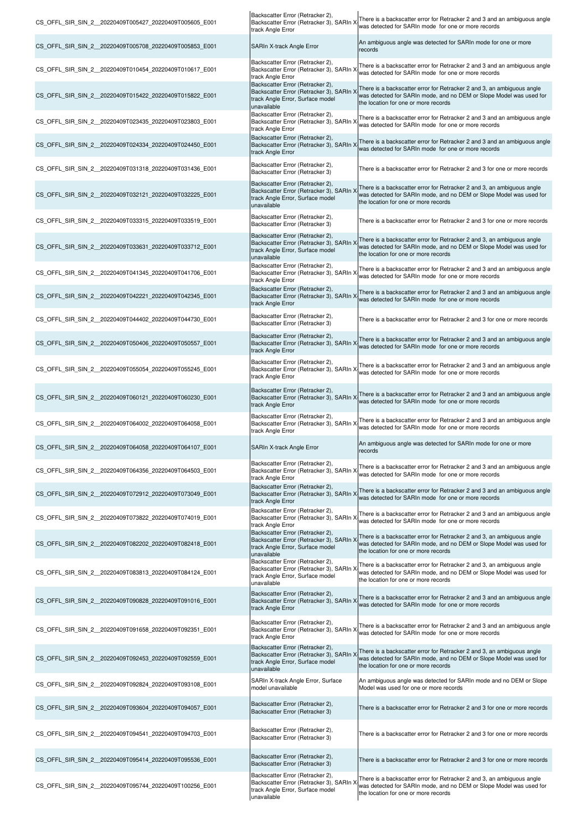| CS_OFFL_SIR_SIN_2_20220409T005427_20220409T005605_E001 | Backscatter Error (Retracker 2),<br>Backscatter Error (Retracker 3), SARIn ><br>track Angle Error                               | There is a backscatter error for Retracker 2 and 3 and an ambiguous angle<br>was detected for SARIn mode for one or more records                                                      |
|--------------------------------------------------------|---------------------------------------------------------------------------------------------------------------------------------|---------------------------------------------------------------------------------------------------------------------------------------------------------------------------------------|
| CS OFFL SIR SIN 2 20220409T005708 20220409T005853 E001 | SARIn X-track Angle Error                                                                                                       | An ambiguous angle was detected for SARIn mode for one or more<br>records                                                                                                             |
| CS OFFL SIR SIN 2 20220409T010454 20220409T010617 E001 | Backscatter Error (Retracker 2),<br>Backscatter Error (Retracker 3), SARIn )<br>track Angle Error                               | There is a backscatter error for Retracker 2 and 3 and an ambiguous angle<br>was detected for SARIn mode for one or more records                                                      |
| CS_OFFL_SIR_SIN_2_20220409T015422_20220409T015822_E001 | Backscatter Error (Retracker 2),<br>Backscatter Error (Retracker 3), SARIn<br>track Angle Error, Surface model<br>unavailable   | There is a backscatter error for Retracker 2 and 3, an ambiguous angle<br>was detected for SARIn mode, and no DEM or Slope Model was used for<br>the location for one or more records |
| CS OFFL SIR SIN 2 20220409T023435 20220409T023803 E001 | Backscatter Error (Retracker 2),<br>Backscatter Error (Retracker 3), SARIn )<br>track Angle Error                               | There is a backscatter error for Retracker 2 and 3 and an ambiguous angle<br>was detected for SARIn mode for one or more records                                                      |
| CS OFFL SIR SIN 2 20220409T024334 20220409T024450 E001 | Backscatter Error (Retracker 2),<br>Backscatter Error (Retracker 3), SARIn )<br>track Angle Error                               | There is a backscatter error for Retracker 2 and 3 and an ambiguous angle<br>was detected for SARIn mode for one or more records                                                      |
| CS_OFFL_SIR_SIN_2_20220409T031318_20220409T031436_E001 | Backscatter Error (Retracker 2),<br>Backscatter Error (Retracker 3)                                                             | There is a backscatter error for Retracker 2 and 3 for one or more records                                                                                                            |
| CS_OFFL_SIR_SIN_2_20220409T032121_20220409T032225_E001 | Backscatter Error (Retracker 2),<br>Backscatter Error (Retracker 3), SARIn ><br>track Angle Error, Surface model<br>unavailable | There is a backscatter error for Retracker 2 and 3, an ambiguous angle<br>was detected for SARIn mode, and no DEM or Slope Model was used for<br>the location for one or more records |
| CS OFFL SIR SIN 2 20220409T033315 20220409T033519 E001 | Backscatter Error (Retracker 2),<br>Backscatter Error (Retracker 3)                                                             | There is a backscatter error for Retracker 2 and 3 for one or more records                                                                                                            |
| CS_OFFL_SIR_SIN_2_20220409T033631_20220409T033712_E001 | Backscatter Error (Retracker 2),<br>Backscatter Error (Retracker 3), SARIn ><br>track Angle Error, Surface model<br>unavailable | There is a backscatter error for Retracker 2 and 3, an ambiguous angle<br>was detected for SARIn mode, and no DEM or Slope Model was used for<br>the location for one or more records |
| CS OFFL SIR SIN 2 20220409T041345 20220409T041706 E001 | Backscatter Error (Retracker 2),<br>Backscatter Error (Retracker 3), SARIn ><br>track Angle Error                               | There is a backscatter error for Retracker 2 and 3 and an ambiguous angle<br>was detected for SARIn mode for one or more records                                                      |
| CS OFFL SIR SIN 2 20220409T042221 20220409T042345 E001 | Backscatter Error (Retracker 2),<br>Backscatter Error (Retracker 3), SARIn ><br>track Angle Error                               | There is a backscatter error for Retracker 2 and 3 and an ambiguous angle<br>was detected for SARIn mode for one or more records                                                      |
| CS OFFL SIR SIN 2 20220409T044402 20220409T044730 E001 | Backscatter Error (Retracker 2),<br>Backscatter Error (Retracker 3)                                                             | There is a backscatter error for Retracker 2 and 3 for one or more records                                                                                                            |
| CS OFFL SIR SIN 2 20220409T050406 20220409T050557 E001 | Backscatter Error (Retracker 2),<br>Backscatter Error (Retracker 3), SARIn ><br>track Angle Error                               | There is a backscatter error for Retracker 2 and 3 and an ambiguous angle<br>was detected for SARIn mode for one or more records                                                      |
| CS_OFFL_SIR_SIN_2_20220409T055054_20220409T055245_E001 | Backscatter Error (Retracker 2),<br>Backscatter Error (Retracker 3), SARIn ><br>track Angle Error                               | There is a backscatter error for Retracker 2 and 3 and an ambiguous angle<br>was detected for SARIn mode for one or more records                                                      |
| CS OFFL SIR SIN 2 20220409T060121 20220409T060230 E001 | Backscatter Error (Retracker 2),<br>Backscatter Error (Retracker 3), SARIn ><br>track Angle Error                               | There is a backscatter error for Retracker 2 and 3 and an ambiguous angle<br>was detected for SARIn mode for one or more records                                                      |
| CS_OFFL_SIR_SIN_2_20220409T064002_20220409T064058_E001 | Backscatter Error (Retracker 2),<br>Backscatter Error (Retracker 3), SARIn )<br>track Angle Error                               | There is a backscatter error for Retracker 2 and 3 and an ambiguous angle<br>was detected for SARIn mode for one or more records                                                      |
| CS_OFFL_SIR_SIN_2_20220409T064058_20220409T064107_E001 | SARIn X-track Angle Error                                                                                                       | An ambiguous angle was detected for SARIn mode for one or more<br>records                                                                                                             |
| CS OFFL SIR SIN 2 20220409T064356 20220409T064503 E001 | Backscatter Error (Retracker 2),<br>Backscatter Error (Retracker 3), SARIn )<br>track Angle Error                               | There is a backscatter error for Retracker 2 and 3 and an ambiguous angle<br>was detected for SARIn mode for one or more records                                                      |
| CS OFFL SIR SIN 2 20220409T072912 20220409T073049 E001 | Backscatter Error (Retracker 2),<br>Backscatter Error (Retracker 3), SARIn )<br>track Angle Error                               | There is a backscatter error for Retracker 2 and 3 and an ambiguous angle<br>was detected for SARIn mode for one or more records                                                      |
| CS OFFL SIR SIN 2 20220409T073822 20220409T074019 E001 | Backscatter Error (Retracker 2),<br>Backscatter Error (Retracker 3), SARIn ><br>track Angle Error                               | There is a backscatter error for Retracker 2 and 3 and an ambiguous angle<br>was detected for SARIn mode for one or more records                                                      |
| CS_OFFL_SIR_SIN_2_20220409T082202_20220409T082418_E001 | Backscatter Error (Retracker 2),<br>Backscatter Error (Retracker 3), SARIn ><br>track Angle Error, Surface model<br>unavailable | There is a backscatter error for Retracker 2 and 3, an ambiguous angle<br>was detected for SARIn mode, and no DEM or Slope Model was used for<br>the location for one or more records |
| CS_OFFL_SIR_SIN_2_20220409T083813_20220409T084124_E001 | Backscatter Error (Retracker 2),<br>Backscatter Error (Retracker 3), SARIn ><br>track Angle Error, Surface model<br>unavailable | There is a backscatter error for Retracker 2 and 3, an ambiguous angle<br>was detected for SARIn mode, and no DEM or Slope Model was used for<br>the location for one or more records |
| CS OFFL SIR SIN 2 20220409T090828 20220409T091016 E001 | Backscatter Error (Retracker 2),<br>Backscatter Error (Retracker 3), SARIn<br>track Angle Error                                 | There is a backscatter error for Retracker 2 and 3 and an ambiguous angle<br>was detected for SARIn mode for one or more records                                                      |
| CS_OFFL_SIR_SIN_2_20220409T091658_20220409T092351_E001 | Backscatter Error (Retracker 2),<br>Backscatter Error (Retracker 3), SARIn ><br>track Angle Error                               | There is a backscatter error for Retracker 2 and 3 and an ambiguous angle<br>was detected for SARIn mode for one or more records                                                      |
| CS_OFFL_SIR_SIN_2_20220409T092453_20220409T092559_E001 | Backscatter Error (Retracker 2),<br>Backscatter Error (Retracker 3), SARIn )<br>track Angle Error, Surface model<br>unavailable | There is a backscatter error for Retracker 2 and 3, an ambiguous angle<br>was detected for SARIn mode, and no DEM or Slope Model was used for<br>the location for one or more records |
| CS_OFFL_SIR_SIN_2_20220409T092824_20220409T093108_E001 | SARIn X-track Angle Error, Surface<br>model unavailable                                                                         | An ambiguous angle was detected for SARIn mode and no DEM or Slope<br>Model was used for one or more records                                                                          |
| CS_OFFL_SIR_SIN_2_20220409T093604_20220409T094057_E001 | Backscatter Error (Retracker 2),<br>Backscatter Error (Retracker 3)                                                             | There is a backscatter error for Retracker 2 and 3 for one or more records                                                                                                            |
| CS OFFL SIR SIN 2 20220409T094541 20220409T094703 E001 | Backscatter Error (Retracker 2),<br>Backscatter Error (Retracker 3)                                                             | There is a backscatter error for Retracker 2 and 3 for one or more records                                                                                                            |
| CS_OFFL_SIR_SIN_2_20220409T095414_20220409T095536_E001 | Backscatter Error (Retracker 2),<br>Backscatter Error (Retracker 3)                                                             | There is a backscatter error for Retracker 2 and 3 for one or more records                                                                                                            |
| CS OFFL SIR SIN 2 20220409T095744 20220409T100256 E001 | Backscatter Error (Retracker 2),<br>Backscatter Error (Retracker 3), SARIn ><br>track Angle Error, Surface model<br>unavailable | There is a backscatter error for Retracker 2 and 3, an ambiguous angle<br>was detected for SARIn mode, and no DEM or Slope Model was used for<br>the location for one or more records |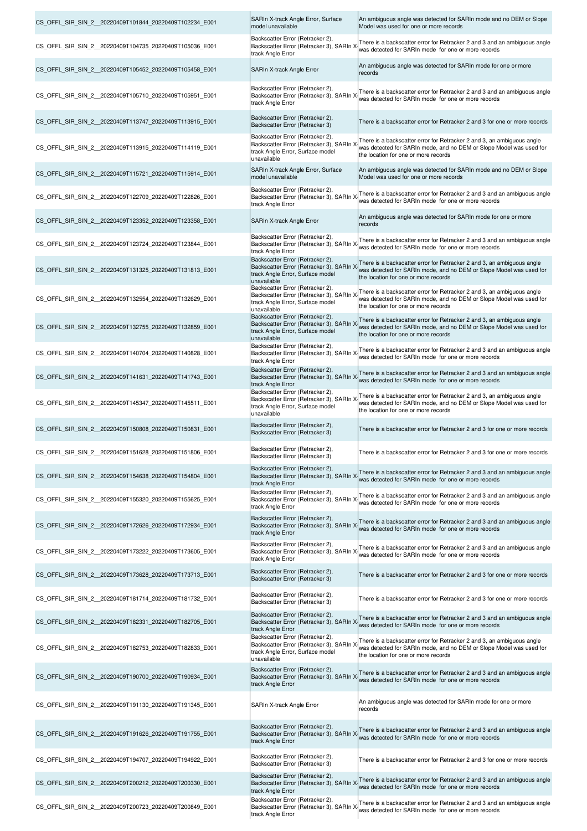| CS_OFFL_SIR_SIN_2_20220409T101844_20220409T102234_E001  | SARIn X-track Angle Error, Surface<br>model unavailable                                                                         | An ambiguous angle was detected for SARIn mode and no DEM or Slope<br>Model was used for one or more records                                                                          |
|---------------------------------------------------------|---------------------------------------------------------------------------------------------------------------------------------|---------------------------------------------------------------------------------------------------------------------------------------------------------------------------------------|
| CS OFFL SIR SIN 2 20220409T104735 20220409T105036 E001  | Backscatter Error (Retracker 2),<br>Backscatter Error (Retracker 3), SARIn X<br>track Angle Error                               | There is a backscatter error for Retracker 2 and 3 and an ambiguous angle<br>was detected for SARIn mode for one or more records                                                      |
| CS OFFL SIR SIN 2 20220409T105452 20220409T105458 E001  | SARIn X-track Angle Error                                                                                                       | An ambiguous angle was detected for SARIn mode for one or more<br>records                                                                                                             |
| CS_OFFL_SIR_SIN_2_20220409T105710_20220409T105951_E001  | Backscatter Error (Retracker 2),<br>Backscatter Error (Retracker 3), SARIn ><br>track Angle Error                               | There is a backscatter error for Retracker 2 and 3 and an ambiguous angle<br>was detected for SARIn mode for one or more records                                                      |
| CS OFFL SIR SIN 2 20220409T113747 20220409T113915 E001  | Backscatter Error (Retracker 2),<br>Backscatter Error (Retracker 3)                                                             | There is a backscatter error for Retracker 2 and 3 for one or more records                                                                                                            |
| CS_OFFL_SIR_SIN_2_20220409T113915_20220409T114119_E001  | Backscatter Error (Retracker 2),<br>Backscatter Error (Retracker 3), SARIn )<br>track Angle Error, Surface model<br>unavailable | There is a backscatter error for Retracker 2 and 3, an ambiguous angle<br>was detected for SARIn mode, and no DEM or Slope Model was used for<br>the location for one or more records |
| CS OFFL SIR SIN 2 20220409T115721 20220409T115914 E001  | SARIn X-track Angle Error, Surface<br>model unavailable                                                                         | An ambiguous angle was detected for SARIn mode and no DEM or Slope<br>Model was used for one or more records                                                                          |
| CS OFFL SIR SIN 2 20220409T122709 20220409T122826 E001  | Backscatter Error (Retracker 2),<br>Backscatter Error (Retracker 3), SARIn ><br>track Angle Error                               | There is a backscatter error for Retracker 2 and 3 and an ambiguous angle<br>was detected for SARIn mode for one or more records                                                      |
| CS OFFL SIR SIN 2 20220409T123352 20220409T123358 E001  | SARIn X-track Angle Error                                                                                                       | An ambiguous angle was detected for SARIn mode for one or more<br>records                                                                                                             |
| CS_OFFL_SIR_SIN_2_20220409T123724_20220409T123844_E001  | Backscatter Error (Retracker 2),<br>Backscatter Error (Retracker 3), SARIn ><br>track Angle Error                               | There is a backscatter error for Retracker 2 and 3 and an ambiguous angle<br>was detected for SARIn mode for one or more records                                                      |
| CS_OFFL_SIR_SIN_2_20220409T131325_20220409T131813_E001  | Backscatter Error (Retracker 2),<br>Backscatter Error (Retracker 3), SARIn ><br>track Angle Error, Surface model<br>unavailable | There is a backscatter error for Retracker 2 and 3, an ambiguous angle<br>was detected for SARIn mode, and no DEM or Slope Model was used for<br>the location for one or more records |
| CS_OFFL_SIR_SIN_2_20220409T132554_20220409T132629_E001  | Backscatter Error (Retracker 2),<br>Backscatter Error (Retracker 3), SARIn ><br>track Angle Error, Surface model<br>unavailable | There is a backscatter error for Retracker 2 and 3, an ambiguous angle<br>was detected for SARIn mode, and no DEM or Slope Model was used for<br>the location for one or more records |
| CS_OFFL_SIR_SIN_2_20220409T132755_20220409T132859_E001  | Backscatter Error (Retracker 2),<br>Backscatter Error (Retracker 3), SARIn ><br>track Angle Error, Surface model<br>unavailable | There is a backscatter error for Retracker 2 and 3, an ambiguous angle<br>was detected for SARIn mode, and no DEM or Slope Model was used for<br>the location for one or more records |
| CS_OFFL_SIR_SIN_2_20220409T140704_20220409T140828_E001  | Backscatter Error (Retracker 2),<br>Backscatter Error (Retracker 3), SARIn ><br>track Angle Error                               | There is a backscatter error for Retracker 2 and 3 and an ambiguous angle<br>was detected for SARIn mode for one or more records                                                      |
| CS_OFFL_SIR_SIN_2_20220409T141631_20220409T141743_E001  | Backscatter Error (Retracker 2),<br>Backscatter Error (Retracker 3), SARIn ><br>track Angle Error                               | There is a backscatter error for Retracker 2 and 3 and an ambiguous angle<br>was detected for SARIn mode for one or more records                                                      |
| CS OFFL SIR SIN 2 20220409T145347 20220409T145511 E001  | Backscatter Error (Retracker 2),<br>Backscatter Error (Retracker 3), SARIn ><br>track Angle Error, Surface model<br>unavailable | There is a backscatter error for Retracker 2 and 3, an ambiguous angle<br>was detected for SARIn mode, and no DEM or Slope Model was used for<br>the location for one or more records |
| CS OFFL SIR SIN_2 _20220409T150808_20220409T150831_E001 | Backscatter Error (Retracker 2),<br>Backscatter Error (Retracker 3)                                                             | There is a backscatter error for Retracker 2 and 3 for one or more records                                                                                                            |
| CS OFFL SIR SIN 2 20220409T151628 20220409T151806 E001  | Backscatter Error (Retracker 2),<br>Backscatter Error (Retracker 3)                                                             | There is a backscatter error for Retracker 2 and 3 for one or more records                                                                                                            |
| CS OFFL SIR SIN 2 20220409T154638 20220409T154804 E001  | Backscatter Error (Retracker 2),<br>Backscatter Error (Retracker 3), SARIn ><br>track Angle Error                               | There is a backscatter error for Retracker 2 and 3 and an ambiguous angle<br>was detected for SARIn mode for one or more records                                                      |
| CS OFFL SIR SIN 2 20220409T155320 20220409T155625 E001  | Backscatter Error (Retracker 2),<br>Backscatter Error (Retracker 3), SARIn ><br>track Angle Error                               | There is a backscatter error for Retracker 2 and 3 and an ambiguous angle<br>was detected for SARIn mode for one or more records                                                      |
| CS OFFL SIR SIN 2 20220409T172626 20220409T172934 E001  | Backscatter Error (Retracker 2),<br>Backscatter Error (Retracker 3), SARIn X<br>track Angle Error                               | There is a backscatter error for Retracker 2 and 3 and an ambiguous angle<br>was detected for SARIn mode for one or more records                                                      |
| CS OFFL SIR SIN 2 20220409T173222 20220409T173605 E001  | Backscatter Error (Retracker 2),<br>Backscatter Error (Retracker 3), SARIn X<br>track Angle Error                               | There is a backscatter error for Retracker 2 and 3 and an ambiguous angle<br>was detected for SARIn mode for one or more records                                                      |
| CS OFFL SIR SIN 2 20220409T173628 20220409T173713 E001  | Backscatter Error (Retracker 2),<br>Backscatter Error (Retracker 3)                                                             | There is a backscatter error for Retracker 2 and 3 for one or more records                                                                                                            |
| CS_OFFL_SIR_SIN_2_20220409T181714_20220409T181732_E001  | Backscatter Error (Retracker 2),<br>Backscatter Error (Retracker 3)                                                             | There is a backscatter error for Retracker 2 and 3 for one or more records                                                                                                            |
| CS OFFL SIR SIN 2 20220409T182331 20220409T182705 E001  | Backscatter Error (Retracker 2),<br>Backscatter Error (Retracker 3), SARIn X<br>track Angle Error                               | There is a backscatter error for Retracker 2 and 3 and an ambiguous angle<br>was detected for SARIn mode for one or more records                                                      |
| CS OFFL SIR SIN 2 20220409T182753 20220409T182833 E001  | Backscatter Error (Retracker 2),<br>Backscatter Error (Retracker 3), SARIn ><br>track Angle Error, Surface model<br>unavailable | There is a backscatter error for Retracker 2 and 3, an ambiguous angle<br>was detected for SARIn mode, and no DEM or Slope Model was used for<br>the location for one or more records |
| CS OFFL SIR SIN 2 20220409T190700 20220409T190934 E001  | Backscatter Error (Retracker 2),<br>Backscatter Error (Retracker 3), SARIn ><br>track Angle Error                               | There is a backscatter error for Retracker 2 and 3 and an ambiguous angle<br>was detected for SARIn mode for one or more records                                                      |
| CS_OFFL_SIR_SIN_2_20220409T191130_20220409T191345_E001  | SARIn X-track Angle Error                                                                                                       | An ambiguous angle was detected for SARIn mode for one or more<br>records                                                                                                             |
| CS_OFFL_SIR_SIN_2_20220409T191626_20220409T191755_E001  | Backscatter Error (Retracker 2),<br>Backscatter Error (Retracker 3), SARIn X<br>track Angle Error                               | There is a backscatter error for Retracker 2 and 3 and an ambiguous angle<br>was detected for SARIn mode for one or more records                                                      |
| CS_OFFL_SIR_SIN_2_20220409T194707_20220409T194922_E001  | Backscatter Error (Retracker 2),<br>Backscatter Error (Retracker 3)                                                             | There is a backscatter error for Retracker 2 and 3 for one or more records                                                                                                            |
| CS OFFL SIR SIN 2 20220409T200212 20220409T200330 E001  | Backscatter Error (Retracker 2),<br>Backscatter Error (Retracker 3), SARIn ><br>track Angle Error                               | There is a backscatter error for Retracker 2 and 3 and an ambiguous angle<br>was detected for SARIn mode for one or more records                                                      |
| CS_OFFL_SIR_SIN_2_20220409T200723_20220409T200849_E001  | Backscatter Error (Retracker 2),<br>Backscatter Error (Retracker 3), SARIn ><br>track Angle Error                               | There is a backscatter error for Retracker 2 and 3 and an ambiguous angle<br>was detected for SARIn mode for one or more records                                                      |

 $\blacksquare$